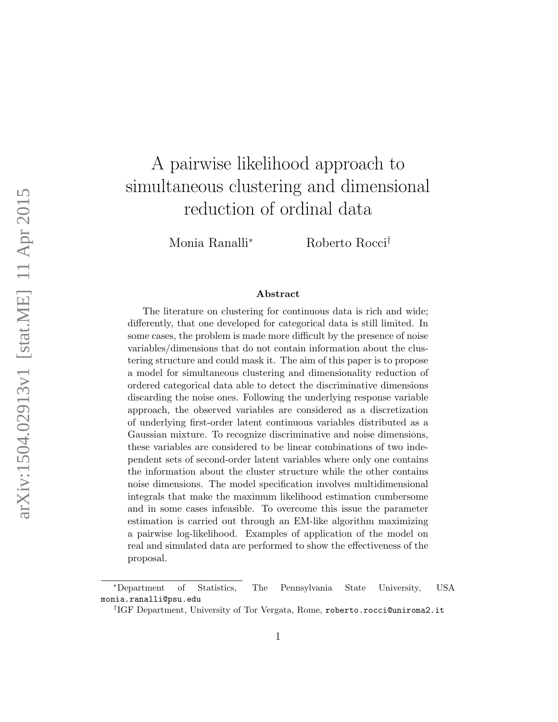# A pairwise likelihood approach to simultaneous clustering and dimensional reduction of ordinal data

Monia Ranalli<sup>∗</sup> Roberto Rocci†

#### Abstract

The literature on clustering for continuous data is rich and wide; differently, that one developed for categorical data is still limited. In some cases, the problem is made more difficult by the presence of noise variables/dimensions that do not contain information about the clustering structure and could mask it. The aim of this paper is to propose a model for simultaneous clustering and dimensionality reduction of ordered categorical data able to detect the discriminative dimensions discarding the noise ones. Following the underlying response variable approach, the observed variables are considered as a discretization of underlying first-order latent continuous variables distributed as a Gaussian mixture. To recognize discriminative and noise dimensions, these variables are considered to be linear combinations of two independent sets of second-order latent variables where only one contains the information about the cluster structure while the other contains noise dimensions. The model specification involves multidimensional integrals that make the maximum likelihood estimation cumbersome and in some cases infeasible. To overcome this issue the parameter estimation is carried out through an EM-like algorithm maximizing a pairwise log-likelihood. Examples of application of the model on real and simulated data are performed to show the effectiveness of the proposal.

<sup>∗</sup>Department of Statistics, The Pennsylvania State University, USA monia.ranalli@psu.edu

<sup>†</sup> IGF Department, University of Tor Vergata, Rome, roberto.rocci@uniroma2.it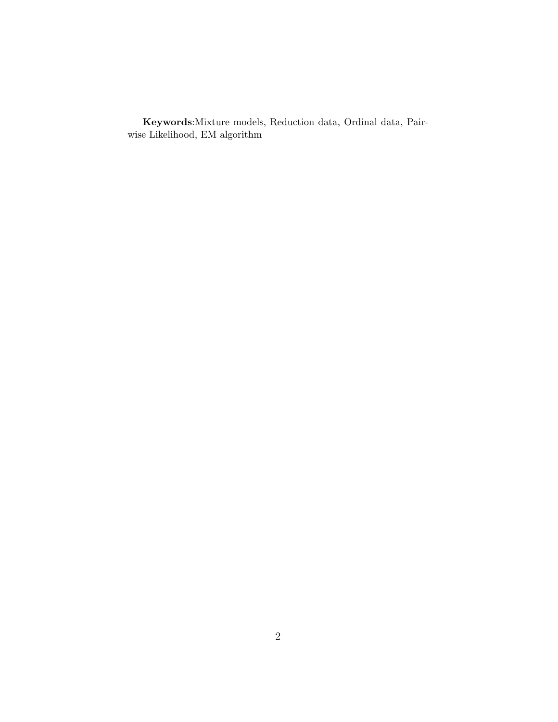Keywords:Mixture models, Reduction data, Ordinal data, Pairwise Likelihood, EM algorithm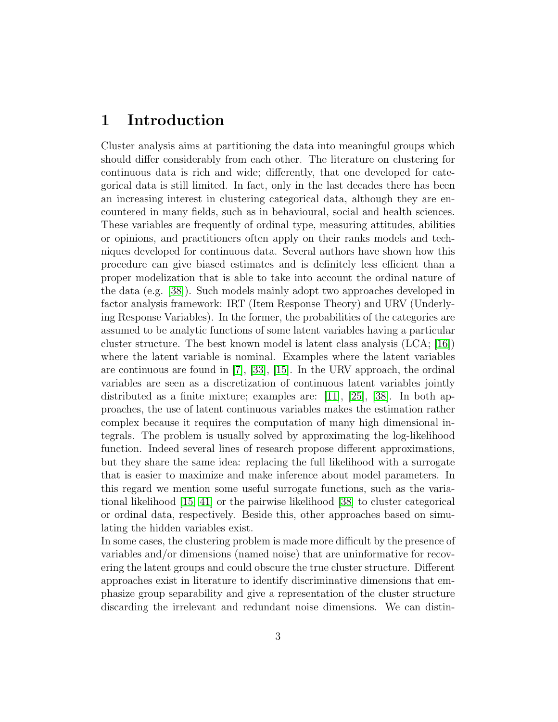### 1 Introduction

Cluster analysis aims at partitioning the data into meaningful groups which should differ considerably from each other. The literature on clustering for continuous data is rich and wide; differently, that one developed for categorical data is still limited. In fact, only in the last decades there has been an increasing interest in clustering categorical data, although they are encountered in many fields, such as in behavioural, social and health sciences. These variables are frequently of ordinal type, measuring attitudes, abilities or opinions, and practitioners often apply on their ranks models and techniques developed for continuous data. Several authors have shown how this procedure can give biased estimates and is definitely less efficient than a proper modelization that is able to take into account the ordinal nature of the data (e.g. [\[38\]](#page-32-0)). Such models mainly adopt two approaches developed in factor analysis framework: IRT (Item Response Theory) and URV (Underlying Response Variables). In the former, the probabilities of the categories are assumed to be analytic functions of some latent variables having a particular cluster structure. The best known model is latent class analysis  $(LCA; 16)$ where the latent variable is nominal. Examples where the latent variables are continuous are found in [\[7\]](#page-29-0), [\[33\]](#page-31-0), [\[15\]](#page-30-1). In the URV approach, the ordinal variables are seen as a discretization of continuous latent variables jointly distributed as a finite mixture; examples are: [\[11\]](#page-29-1), [\[25\]](#page-31-1), [\[38\]](#page-32-0). In both approaches, the use of latent continuous variables makes the estimation rather complex because it requires the computation of many high dimensional integrals. The problem is usually solved by approximating the log-likelihood function. Indeed several lines of research propose different approximations, but they share the same idea: replacing the full likelihood with a surrogate that is easier to maximize and make inference about model parameters. In this regard we mention some useful surrogate functions, such as the variational likelihood [\[15,](#page-30-1) [41\]](#page-32-1) or the pairwise likelihood [\[38\]](#page-32-0) to cluster categorical or ordinal data, respectively. Beside this, other approaches based on simulating the hidden variables exist.

In some cases, the clustering problem is made more difficult by the presence of variables and/or dimensions (named noise) that are uninformative for recovering the latent groups and could obscure the true cluster structure. Different approaches exist in literature to identify discriminative dimensions that emphasize group separability and give a representation of the cluster structure discarding the irrelevant and redundant noise dimensions. We can distin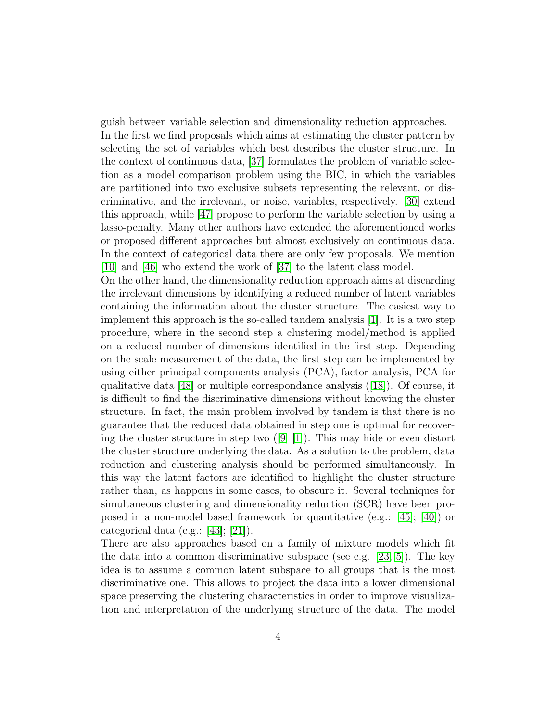guish between variable selection and dimensionality reduction approaches. In the first we find proposals which aims at estimating the cluster pattern by selecting the set of variables which best describes the cluster structure. In the context of continuous data, [\[37\]](#page-32-2) formulates the problem of variable selection as a model comparison problem using the BIC, in which the variables are partitioned into two exclusive subsets representing the relevant, or discriminative, and the irrelevant, or noise, variables, respectively. [\[30\]](#page-31-2) extend this approach, while [\[47\]](#page-33-0) propose to perform the variable selection by using a lasso-penalty. Many other authors have extended the aforementioned works or proposed different approaches but almost exclusively on continuous data. In the context of categorical data there are only few proposals. We mention [\[10\]](#page-29-2) and [\[46\]](#page-33-1) who extend the work of [\[37\]](#page-32-2) to the latent class model.

On the other hand, the dimensionality reduction approach aims at discarding the irrelevant dimensions by identifying a reduced number of latent variables containing the information about the cluster structure. The easiest way to implement this approach is the so-called tandem analysis [\[1\]](#page-29-3). It is a two step procedure, where in the second step a clustering model/method is applied on a reduced number of dimensions identified in the first step. Depending on the scale measurement of the data, the first step can be implemented by using either principal components analysis (PCA), factor analysis, PCA for qualitative data [\[48\]](#page-33-2) or multiple correspondance analysis ([\[18\]](#page-30-2)). Of course, it is difficult to find the discriminative dimensions without knowing the cluster structure. In fact, the main problem involved by tandem is that there is no guarantee that the reduced data obtained in step one is optimal for recovering the cluster structure in step two  $([9] [1])$  $([9] [1])$  $([9] [1])$  $([9] [1])$  $([9] [1])$ . This may hide or even distort the cluster structure underlying the data. As a solution to the problem, data reduction and clustering analysis should be performed simultaneously. In this way the latent factors are identified to highlight the cluster structure rather than, as happens in some cases, to obscure it. Several techniques for simultaneous clustering and dimensionality reduction (SCR) have been proposed in a non-model based framework for quantitative (e.g.:  $[45]$ ;  $[40]$ ) or categorical data (e.g.: [\[43\]](#page-32-5); [\[21\]](#page-30-3)).

There are also approaches based on a family of mixture models which fit the data into a common discriminative subspace (see e.g.  $[23, 5]$  $[23, 5]$ ). The key idea is to assume a common latent subspace to all groups that is the most discriminative one. This allows to project the data into a lower dimensional space preserving the clustering characteristics in order to improve visualization and interpretation of the underlying structure of the data. The model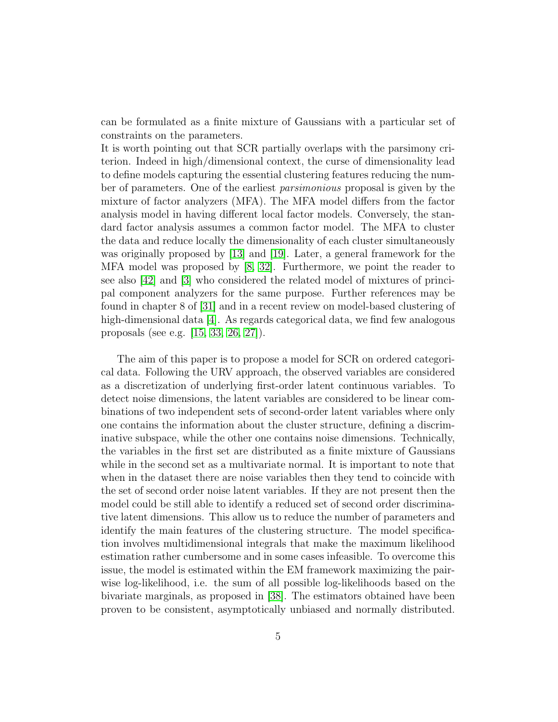can be formulated as a finite mixture of Gaussians with a particular set of constraints on the parameters.

It is worth pointing out that SCR partially overlaps with the parsimony criterion. Indeed in high/dimensional context, the curse of dimensionality lead to define models capturing the essential clustering features reducing the number of parameters. One of the earliest parsimonious proposal is given by the mixture of factor analyzers (MFA). The MFA model differs from the factor analysis model in having different local factor models. Conversely, the standard factor analysis assumes a common factor model. The MFA to cluster the data and reduce locally the dimensionality of each cluster simultaneously was originally proposed by [\[13\]](#page-30-4) and [\[19\]](#page-30-5). Later, a general framework for the MFA model was proposed by  $[8, 32]$  $[8, 32]$ . Furthermore, we point the reader to see also [\[42\]](#page-32-6) and [\[3\]](#page-29-7) who considered the related model of mixtures of principal component analyzers for the same purpose. Further references may be found in chapter 8 of [\[31\]](#page-31-5) and in a recent review on model-based clustering of high-dimensional data  $[4]$ . As regards categorical data, we find few analogous proposals (see e.g. [\[15,](#page-30-1) [33,](#page-31-0) [26,](#page-31-6) [27\]](#page-31-7)).

The aim of this paper is to propose a model for SCR on ordered categorical data. Following the URV approach, the observed variables are considered as a discretization of underlying first-order latent continuous variables. To detect noise dimensions, the latent variables are considered to be linear combinations of two independent sets of second-order latent variables where only one contains the information about the cluster structure, defining a discriminative subspace, while the other one contains noise dimensions. Technically, the variables in the first set are distributed as a finite mixture of Gaussians while in the second set as a multivariate normal. It is important to note that when in the dataset there are noise variables then they tend to coincide with the set of second order noise latent variables. If they are not present then the model could be still able to identify a reduced set of second order discriminative latent dimensions. This allow us to reduce the number of parameters and identify the main features of the clustering structure. The model specification involves multidimensional integrals that make the maximum likelihood estimation rather cumbersome and in some cases infeasible. To overcome this issue, the model is estimated within the EM framework maximizing the pairwise log-likelihood, i.e. the sum of all possible log-likelihoods based on the bivariate marginals, as proposed in [\[38\]](#page-32-0). The estimators obtained have been proven to be consistent, asymptotically unbiased and normally distributed.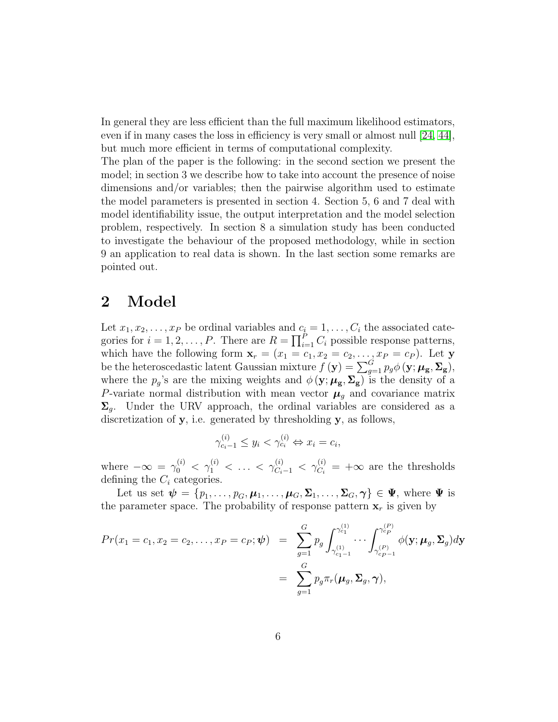In general they are less efficient than the full maximum likelihood estimators, even if in many cases the loss in efficiency is very small or almost null [\[24,](#page-31-8) [44\]](#page-32-7), but much more efficient in terms of computational complexity.

The plan of the paper is the following: in the second section we present the model; in section 3 we describe how to take into account the presence of noise dimensions and/or variables; then the pairwise algorithm used to estimate the model parameters is presented in section 4. Section 5, 6 and 7 deal with model identifiability issue, the output interpretation and the model selection problem, respectively. In section 8 a simulation study has been conducted to investigate the behaviour of the proposed methodology, while in section 9 an application to real data is shown. In the last section some remarks are pointed out.

## 2 Model

Let  $x_1, x_2, \ldots, x_P$  be ordinal variables and  $c_i = 1, \ldots, C_i$  the associated categories for  $i = 1, 2, ..., P$ . There are  $R = \prod_{i=1}^{P} C_i$  possible response patterns, which have the following form  $\mathbf{x}_r = (x_1 = c_1, x_2 = c_2, \ldots, x_P = c_P)$ . Let y be the heteroscedastic latent Gaussian mixture  $f(\mathbf{y}) = \sum_{g=1}^{G} p_g \phi(\mathbf{y}; \mu_g, \Sigma_g),$ where the  $p_g$ 's are the mixing weights and  $\phi(\mathbf{y}; \mu_{\mathbf{g}}, \Sigma_{\mathbf{g}})$  is the density of a P-variate normal distribution with mean vector  $\mu<sub>g</sub>$  and covariance matrix  $\Sigma_q$ . Under the URV approach, the ordinal variables are considered as a discretization of y, i.e. generated by thresholding y, as follows,

$$
\gamma_{c_i-1}^{(i)} \le y_i < \gamma_{c_i}^{(i)} \Leftrightarrow x_i = c_i,
$$

where  $-\infty = \gamma_0^{(i)} < \gamma_1^{(i)} < \ldots < \gamma_{C_i-1}^{(i)} < \gamma_{C_i}^{(i)} = +\infty$  are the thresholds defining the  $C_i$  categories.

Let us set  $\psi = \{p_1, \ldots, p_G, \mu_1, \ldots, \mu_G, \Sigma_1, \ldots, \Sigma_G, \gamma\} \in \Psi$ , where  $\Psi$  is the parameter space. The probability of response pattern  $x_r$  is given by

$$
Pr(x_1 = c_1, x_2 = c_2, ..., x_P = c_P; \psi) = \sum_{g=1}^{G} p_g \int_{\gamma_{c_1-1}^{(1)}}^{\gamma_{c_1}^{(1)}} \cdots \int_{\gamma_{c_{P-1}}^{(P)}}^{\gamma_{c_P}^{(P)}} \phi(\mathbf{y}; \boldsymbol{\mu}_g, \boldsymbol{\Sigma}_g) d\mathbf{y}
$$
  
= 
$$
\sum_{g=1}^{G} p_g \pi_r(\boldsymbol{\mu}_g, \boldsymbol{\Sigma}_g, \boldsymbol{\gamma}),
$$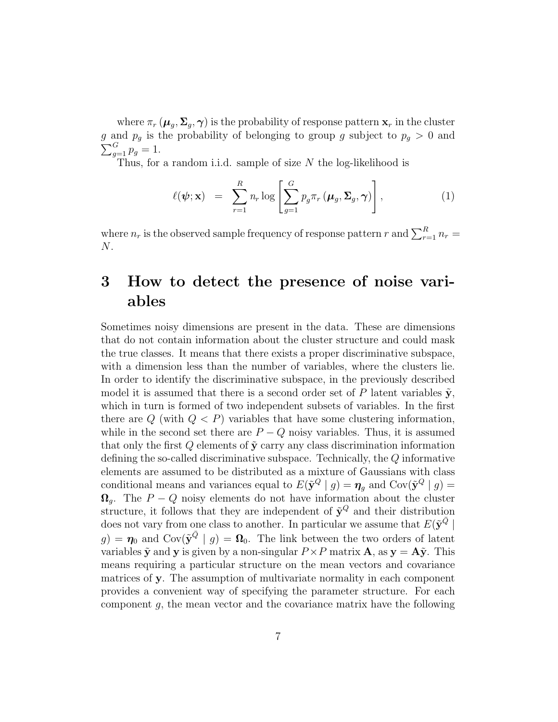where  $\pi_r$  ( $\mu_g$ ,  $\Sigma_g$ ,  $\gamma$ ) is the probability of response pattern  $\mathbf{x}_r$  in the cluster g and  $p_g$  is the probability of belonging to group g subject to  $p_g > 0$  and  $\sum_{g=1}^{G} p_g = 1.$ 

Thus, for a random i.i.d. sample of size  $N$  the log-likelihood is

$$
\ell(\boldsymbol{\psi}; \mathbf{x}) = \sum_{r=1}^{R} n_r \log \left[ \sum_{g=1}^{G} p_g \pi_r (\boldsymbol{\mu}_g, \boldsymbol{\Sigma}_g, \boldsymbol{\gamma}) \right], \qquad (1)
$$

where  $n_r$  is the observed sample frequency of response pattern r and  $\sum_{r=1}^{R} n_r =$ N.

# 3 How to detect the presence of noise variables

Sometimes noisy dimensions are present in the data. These are dimensions that do not contain information about the cluster structure and could mask the true classes. It means that there exists a proper discriminative subspace, with a dimension less than the number of variables, where the clusters lie. In order to identify the discriminative subspace, in the previously described model it is assumed that there is a second order set of P latent variables  $\tilde{\mathbf{y}}$ , which in turn is formed of two independent subsets of variables. In the first there are  $Q$  (with  $Q < P$ ) variables that have some clustering information, while in the second set there are  $P - Q$  noisy variables. Thus, it is assumed that only the first  $Q$  elements of  $\tilde{y}$  carry any class discrimination information defining the so-called discriminative subspace. Technically, the Q informative elements are assumed to be distributed as a mixture of Gaussians with class conditional means and variances equal to  $E(\tilde{\mathbf{y}}^Q \mid g) = \eta_g$  and  $Cov(\tilde{\mathbf{y}}^Q \mid g) =$  $\Omega_q$ . The  $P - Q$  noisy elements do not have information about the cluster structure, it follows that they are independent of  $\tilde{\mathbf{y}}^Q$  and their distribution does not vary from one class to another. In particular we assume that  $E(\tilde{\mathbf{y}}^{\bar{Q}})$  $g$ ) =  $\eta_0$  and  $\text{Cov}(\tilde{\mathbf{y}}^{\bar{Q}} \mid g) = \mathbf{\Omega}_0$ . The link between the two orders of latent variables  $\tilde{y}$  and y is given by a non-singular  $P \times P$  matrix **A**, as  $y = A\tilde{y}$ . This means requiring a particular structure on the mean vectors and covariance matrices of y. The assumption of multivariate normality in each component provides a convenient way of specifying the parameter structure. For each component  $g$ , the mean vector and the covariance matrix have the following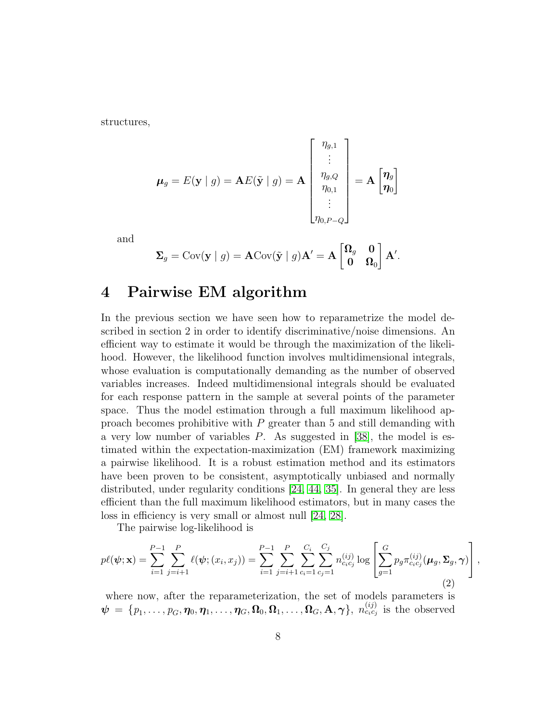structures,

$$
\boldsymbol{\mu}_g = E(\mathbf{y} \mid g) = \mathbf{A}E(\tilde{\mathbf{y}} \mid g) = \mathbf{A} \begin{bmatrix} \eta_{g,1} \\ \vdots \\ \eta_{g,Q} \\ \eta_{0,1} \\ \vdots \\ \eta_{0,P-Q} \end{bmatrix} = \mathbf{A} \begin{bmatrix} \boldsymbol{\eta}_g \\ \boldsymbol{\eta}_g \end{bmatrix}
$$

and

$$
\mathbf{\Sigma}_g = \text{Cov}(\mathbf{y} \mid g) = \mathbf{A} \text{Cov}(\tilde{\mathbf{y}} \mid g) \mathbf{A}' = \mathbf{A} \begin{bmatrix} \mathbf{\Omega}_g & \mathbf{0} \\ \mathbf{0} & \mathbf{\Omega}_0 \end{bmatrix} \mathbf{A}'.
$$

#### 4 Pairwise EM algorithm

In the previous section we have seen how to reparametrize the model described in section 2 in order to identify discriminative/noise dimensions. An efficient way to estimate it would be through the maximization of the likelihood. However, the likelihood function involves multidimensional integrals, whose evaluation is computationally demanding as the number of observed variables increases. Indeed multidimensional integrals should be evaluated for each response pattern in the sample at several points of the parameter space. Thus the model estimation through a full maximum likelihood approach becomes prohibitive with  $P$  greater than 5 and still demanding with a very low number of variables P. As suggested in [\[38\]](#page-32-0), the model is estimated within the expectation-maximization (EM) framework maximizing a pairwise likelihood. It is a robust estimation method and its estimators have been proven to be consistent, asymptotically unbiased and normally distributed, under regularity conditions [\[24,](#page-31-8) [44,](#page-32-7) [35\]](#page-32-8). In general they are less efficient than the full maximum likelihood estimators, but in many cases the loss in efficiency is very small or almost null [\[24,](#page-31-8) [28\]](#page-31-9).

The pairwise log-likelihood is

$$
p\ell(\boldsymbol{\psi}; \mathbf{x}) = \sum_{i=1}^{P-1} \sum_{j=i+1}^{P} \ell(\boldsymbol{\psi}; (x_i, x_j)) = \sum_{i=1}^{P-1} \sum_{j=i+1}^{P} \sum_{c_i=1}^{C_i} \sum_{c_j=1}^{C_j} n_{c_i c_j}^{(ij)} \log \left[ \sum_{g=1}^{G} p_g \pi_{c_i c_j}^{(ij)}(\boldsymbol{\mu}_g, \boldsymbol{\Sigma}_g, \boldsymbol{\gamma}) \right],
$$
\n(2)

where now, after the reparameterization, the set of models parameters is  $\boldsymbol{\psi} = \{p_1, \ldots, p_G, \eta_0, \eta_1, \ldots, \eta_G, \Omega_0, \Omega_1, \ldots, \Omega_G, \mathbf{A}, \boldsymbol{\gamma}\},\ n_{c_ic_j}^{(ij)}$  is the observed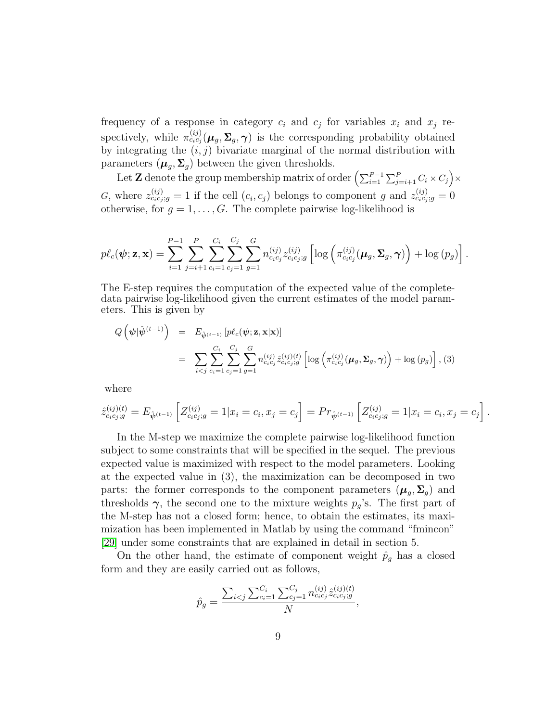frequency of a response in category  $c_i$  and  $c_j$  for variables  $x_i$  and  $x_j$  respectively, while  $\pi_{c_i c_j}^{(ij)}(\mu_g, \Sigma_g, \gamma)$  is the corresponding probability obtained by integrating the  $(i, j)$  bivariate marginal of the normal distribution with parameters  $(\mu_g, \Sigma_g)$  between the given thresholds.

Let Z denote the group membership matrix of order  $\left(\sum_{i=1}^{P-1}\sum_{j=i+1}^{P} C_i \times C_j\right) \times$ G, where  $z_{c_i c_j;g}^{(ij)} = 1$  if the cell  $(c_i, c_j)$  belongs to component g and  $z_{c_i c_j;g}^{(ij)} = 0$ otherwise, for  $g = 1, \ldots, G$ . The complete pairwise log-likelihood is

$$
p\ell_c(\boldsymbol{\psi}; \mathbf{z}, \mathbf{x}) = \sum_{i=1}^{P-1} \sum_{j=i+1}^{P} \sum_{c_i=1}^{C_i} \sum_{c_j=1}^{C_j} \sum_{g=1}^{G} n_{c_ic_j}^{(ij)} z_{c_ic_j;g}^{(ij)} \left[ \log \left( \pi_{c_ic_j}^{(ij)}(\boldsymbol{\mu}_g, \boldsymbol{\Sigma}_g, \boldsymbol{\gamma}) \right) + \log (p_g) \right].
$$

The E-step requires the computation of the expected value of the completedata pairwise log-likelihood given the current estimates of the model parameters. This is given by

$$
Q\left(\psi|\hat{\psi}^{(t-1)}\right) = E_{\hat{\psi}^{(t-1)}}\left[p\ell_c(\psi; \mathbf{z}, \mathbf{x}|\mathbf{x})\right]
$$
  
= 
$$
\sum_{i < j} \sum_{c_i=1}^{C_i} \sum_{c_j=1}^{C_j} \sum_{g=1}^{G} n_{c_ic_j}^{(ij)} \hat{z}_{c_ic_j;g}^{(ij)(t)} \left[\log\left(\pi_{c_ic_j}^{(ij)}(\mu_g, \Sigma_g, \gamma)\right) + \log(p_g)\right], (3)
$$

where

$$
\hat{z}_{c_i c_j;g}^{(ij)(t)} = E_{\hat{\psi}^{(t-1)}} \left[ Z_{c_i c_j;g}^{(ij)} = 1 | x_i = c_i, x_j = c_j \right] = Pr_{\hat{\psi}^{(t-1)}} \left[ Z_{c_i c_j;g}^{(ij)} = 1 | x_i = c_i, x_j = c_j \right].
$$

In the M-step we maximize the complete pairwise log-likelihood function subject to some constraints that will be specified in the sequel. The previous expected value is maximized with respect to the model parameters. Looking at the expected value in (3), the maximization can be decomposed in two parts: the former corresponds to the component parameters  $(\mu_g, \Sigma_g)$  and thresholds  $\gamma$ , the second one to the mixture weights  $p_g$ 's. The first part of the M-step has not a closed form; hence, to obtain the estimates, its maximization has been implemented in Matlab by using the command "fmincon" [\[29\]](#page-31-10) under some constraints that are explained in detail in section 5.

On the other hand, the estimate of component weight  $\hat{p}_g$  has a closed form and they are easily carried out as follows,

$$
\hat{p}_g = \frac{\sum_{i < j} \sum_{c_i=1}^{C_i} \sum_{c_j=1}^{C_j} n_{c_i c_j}^{(ij)} \hat{z}_{c_i c_j;g}}{N},
$$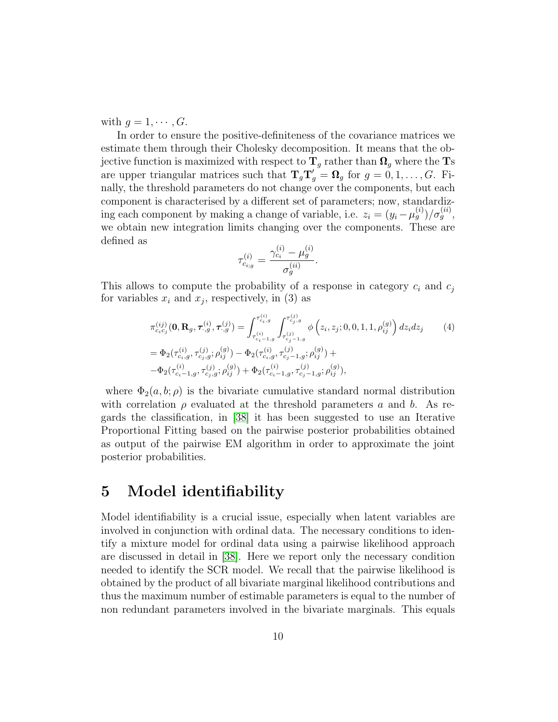with  $g = 1, \cdots, G$ .

In order to ensure the positive-definiteness of the covariance matrices we estimate them through their Cholesky decomposition. It means that the objective function is maximized with respect to  $T_q$  rather than  $\Omega_q$  where the Ts are upper triangular matrices such that  $T_gT'_g = \Omega_g$  for  $g = 0, 1, ..., G$ . Finally, the threshold parameters do not change over the components, but each component is characterised by a different set of parameters; now, standardizing each component by making a change of variable, i.e.  $z_i = (y_i - \mu_g^{(i)})/\sigma_g^{(ii)}$ , we obtain new integration limits changing over the components. These are defined as

$$
\tau_{c_{i:g}}^{(i)} = \frac{\gamma_{c_i}^{(i)} - \mu_g^{(i)}}{\sigma_g^{(ii)}}.
$$

This allows to compute the probability of a response in category  $c_i$  and  $c_j$ for variables  $x_i$  and  $x_j$ , respectively, in (3) as

$$
\pi_{c_ic_j}^{(ij)}(\mathbf{0}, \mathbf{R}_g, \tau_{\cdot,g}^{(i)}, \tau_{\cdot,g}^{(j)}) = \int_{\tau_{c_i-1,g}^{(i)}}^{\tau_{c_i,g}^{(i)}} \int_{\tau_{c_j-1,g}^{(j)}}^{\tau_{c_j,g}^{(j)}} \phi\left(z_i, z_j; 0, 0, 1, 1, \rho_{ij}^{(g)}\right) dz_i dz_j
$$
\n
$$
= \Phi_2(\tau_{c_i,g}^{(i)}, \tau_{c_j,g}^{(j)}; \rho_{ij}^{(g)}) - \Phi_2(\tau_{c_i,g}^{(i)}, \tau_{c_j-1,g}^{(j)}; \rho_{ij}^{(g)}) +
$$
\n
$$
- \Phi_2(\tau_{c_i-1,g}^{(i)}, \tau_{c_j,g}^{(j)}; \rho_{ij}^{(g)}) + \Phi_2(\tau_{c_i-1,g}^{(i)}, \tau_{c_j-1,g}^{(j)}; \rho_{ij}^{(g)}),
$$
\n(4)

where  $\Phi_2(a, b; \rho)$  is the bivariate cumulative standard normal distribution with correlation  $\rho$  evaluated at the threshold parameters a and b. As regards the classification, in [\[38\]](#page-32-0) it has been suggested to use an Iterative Proportional Fitting based on the pairwise posterior probabilities obtained as output of the pairwise EM algorithm in order to approximate the joint posterior probabilities.

#### 5 Model identifiability

Model identifiability is a crucial issue, especially when latent variables are involved in conjunction with ordinal data. The necessary conditions to identify a mixture model for ordinal data using a pairwise likelihood approach are discussed in detail in [\[38\]](#page-32-0). Here we report only the necessary condition needed to identify the SCR model. We recall that the pairwise likelihood is obtained by the product of all bivariate marginal likelihood contributions and thus the maximum number of estimable parameters is equal to the number of non redundant parameters involved in the bivariate marginals. This equals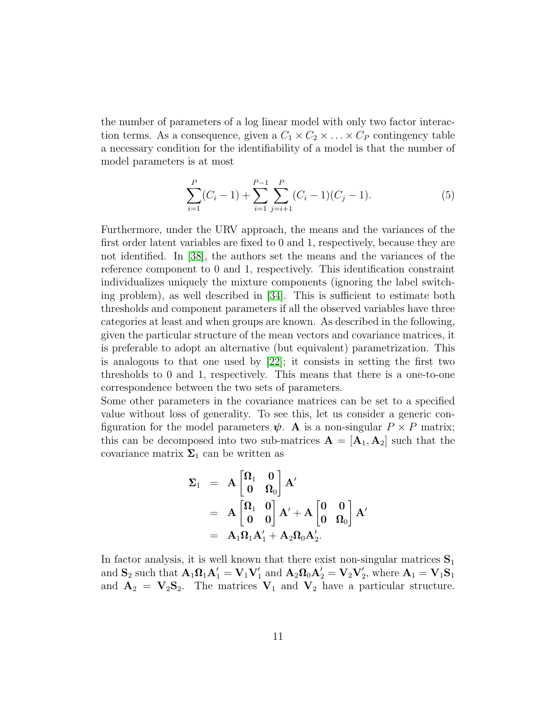the number of parameters of a log linear model with only two factor interaction terms. As a consequence, given a  $C_1 \times C_2 \times \ldots \times C_p$  contingency table a necessary condition for the identifiability of a model is that the number of model parameters is at most

$$
\sum_{i=1}^{P} (C_i - 1) + \sum_{i=1}^{P-1} \sum_{j=i+1}^{P} (C_i - 1)(C_j - 1).
$$
 (5)

Furthermore, under the URV approach, the means and the variances of the first order latent variables are fixed to 0 and 1, respectively, because they are not identified. In [\[38\]](#page-32-0), the authors set the means and the variances of the reference component to 0 and 1, respectively. This identification constraint individualizes uniquely the mixture components (ignoring the label switching problem), as well described in [\[34\]](#page-32-9). This is sufficient to estimate both thresholds and component parameters if all the observed variables have three categories at least and when groups are known. As described in the following, given the particular structure of the mean vectors and covariance matrices, it is preferable to adopt an alternative (but equivalent) parametrization. This is analogous to that one used by [\[22\]](#page-30-6); it consists in setting the first two thresholds to 0 and 1, respectively. This means that there is a one-to-one correspondence between the two sets of parameters.

Some other parameters in the covariance matrices can be set to a specified value without loss of generality. To see this, let us consider a generic configuration for the model parameters  $\psi$ . A is a non-singular  $P \times P$  matrix; this can be decomposed into two sub-matrices  $A = [A_1, A_2]$  such that the covariance matrix  $\Sigma_1$  can be written as

$$
\begin{array}{rcl} \boldsymbol{\Sigma}_1 &=& \mathbf{A}\begin{bmatrix} \boldsymbol{\Omega}_1 & \mathbf{0} \\ \mathbf{0} & \boldsymbol{\Omega}_0 \end{bmatrix} \mathbf{A}' \\ &=& \mathbf{A}\begin{bmatrix} \boldsymbol{\Omega}_1 & \mathbf{0} \\ \mathbf{0} & \mathbf{0} \end{bmatrix} \mathbf{A}' + \mathbf{A}\begin{bmatrix} \mathbf{0} & \mathbf{0} \\ \mathbf{0} & \boldsymbol{\Omega}_0 \end{bmatrix} \mathbf{A}' \\ &=& \mathbf{A}_1 \boldsymbol{\Omega}_1 \mathbf{A}_1' + \mathbf{A}_2 \boldsymbol{\Omega}_0 \mathbf{A}_2'. \end{array}
$$

In factor analysis, it is well known that there exist non-singular matrices  $S_1$ and  $S_2$  such that  $A_1\Omega_1A_1' = V_1V_1'$  and  $A_2\Omega_0A_2' = V_2V_2'$ , where  $A_1 = V_1S_1$ and  $A_2 = V_2S_2$ . The matrices  $V_1$  and  $V_2$  have a particular structure.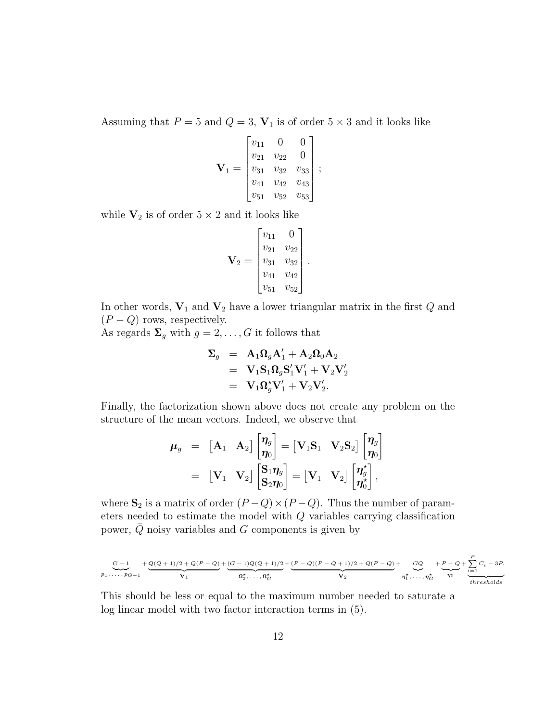Assuming that  $P = 5$  and  $Q = 3$ ,  $V_1$  is of order  $5 \times 3$  and it looks like

$$
\mathbf{V}_1 = \begin{bmatrix} v_{11} & 0 & 0 \\ v_{21} & v_{22} & 0 \\ v_{31} & v_{32} & v_{33} \\ v_{41} & v_{42} & v_{43} \\ v_{51} & v_{52} & v_{53} \end{bmatrix};
$$

while  $V_2$  is of order  $5 \times 2$  and it looks like

$$
\mathbf{V}_2 = \begin{bmatrix} v_{11} & 0 \\ v_{21} & v_{22} \\ v_{31} & v_{32} \\ v_{41} & v_{42} \\ v_{51} & v_{52} \end{bmatrix}.
$$

In other words,  $V_1$  and  $V_2$  have a lower triangular matrix in the first  $Q$  and  $(P - Q)$  rows, respectively.

As regards  $\Sigma_g$  with  $g = 2, \ldots, G$  it follows that

$$
\begin{array}{ccl} \boldsymbol{\Sigma}_g &=& \mathbf{A}_1 \boldsymbol{\Omega}_g \mathbf{A}_1^\prime + \mathbf{A}_2 \boldsymbol{\Omega}_0 \mathbf{A}_2 \\ &=& \mathbf{V}_1 \mathbf{S}_1 \boldsymbol{\Omega}_g \mathbf{S}_1^\prime \mathbf{V}_1^\prime + \mathbf{V}_2 \mathbf{V}_2^\prime \\ &=& \mathbf{V}_1 \boldsymbol{\Omega}_g^\star \mathbf{V}_1^\prime + \mathbf{V}_2 \mathbf{V}_2^\prime. \end{array}
$$

Finally, the factorization shown above does not create any problem on the structure of the mean vectors. Indeed, we observe that

$$
\begin{array}{ccl}\n\boldsymbol{\mu}_g &=& \begin{bmatrix} \mathbf{A}_1 & \mathbf{A}_2 \end{bmatrix} \begin{bmatrix} \boldsymbol{\eta}_g \\ \boldsymbol{\eta}_0 \end{bmatrix} = \begin{bmatrix} \mathbf{V}_1 \mathbf{S}_1 & \mathbf{V}_2 \mathbf{S}_2 \end{bmatrix} \begin{bmatrix} \boldsymbol{\eta}_g \\ \boldsymbol{\eta}_0 \end{bmatrix} \\
&=& \begin{bmatrix} \mathbf{V}_1 & \mathbf{V}_2 \end{bmatrix} \begin{bmatrix} \mathbf{S}_1 \boldsymbol{\eta}_g \\ \mathbf{S}_2 \boldsymbol{\eta}_0 \end{bmatrix} = \begin{bmatrix} \mathbf{V}_1 & \mathbf{V}_2 \end{bmatrix} \begin{bmatrix} \boldsymbol{\eta}_g^{\star} \\ \boldsymbol{\eta}_0^{\star} \end{bmatrix},\n\end{array}
$$

where  $S_2$  is a matrix of order  $(P - Q) \times (P - Q)$ . Thus the number of parameters needed to estimate the model with Q variables carrying classification power,  $Q$  noisy variables and  $G$  components is given by

$$
\underbrace{G-1}_{p_1,\ldots,p_{G-1}} + \underbrace{Q(Q+1)/2 + Q(P-Q)}_{\mathbf{V}_1} + \underbrace{(G-1)Q(Q+1)/2}_{\mathbf{n}_2^*,\ldots,\mathbf{n}_G^*} + \underbrace{(P-Q)(P-Q+1)/2 + Q(P-Q)}_{\mathbf{V}_2} + \underbrace{GQ}_{\eta_1^*,\ldots,\eta_G^*} + \underbrace{P-Q}_{\eta_0} + \underbrace{\sum_{i=1}^{P}C_i-3P}_{thresholds}
$$

This should be less or equal to the maximum number needed to saturate a log linear model with two factor interaction terms in (5).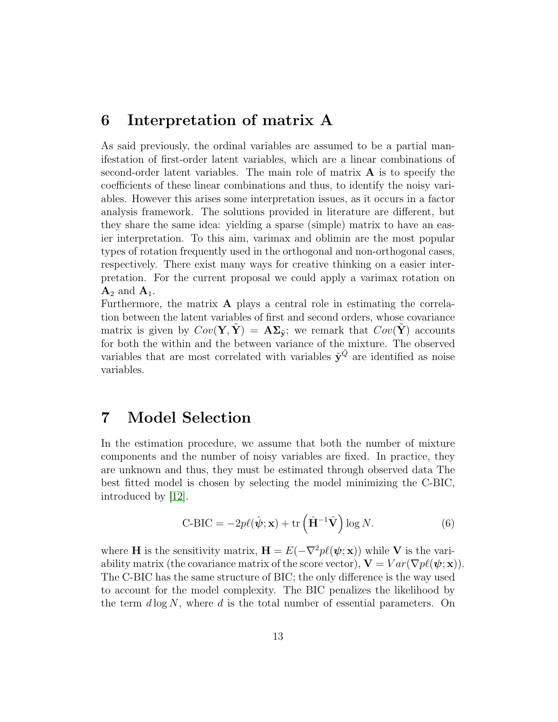#### 6 Interpretation of matrix A

As said previously, the ordinal variables are assumed to be a partial manifestation of first-order latent variables, which are a linear combinations of second-order latent variables. The main role of matrix  $\bf{A}$  is to specify the coefficients of these linear combinations and thus, to identify the noisy variables. However this arises some interpretation issues, as it occurs in a factor analysis framework. The solutions provided in literature are different, but they share the same idea: yielding a sparse (simple) matrix to have an easier interpretation. To this aim, varimax and oblimin are the most popular types of rotation frequently used in the orthogonal and non-orthogonal cases, respectively. There exist many ways for creative thinking on a easier interpretation. For the current proposal we could apply a varimax rotation on  $\mathbf{A}_2$  and  $\mathbf{A}_1$ .

Furthermore, the matrix A plays a central role in estimating the correlation between the latent variables of first and second orders, whose covariance matrix is given by  $Cov(Y, \tilde{Y}) = A\Sigma_{\tilde{y}}$ ; we remark that  $Cov(Y)$  accounts for both the within and the between variance of the mixture. The observed variables that are most correlated with variables  $\tilde{\mathbf{y}}^{\bar{Q}}$  are identified as noise variables.

# 7 Model Selection

In the estimation procedure, we assume that both the number of mixture components and the number of noisy variables are fixed. In practice, they are unknown and thus, they must be estimated through observed data The best fitted model is chosen by selecting the model minimizing the C-BIC, introduced by [\[12\]](#page-30-7).

$$
\text{C-BIC} = -2p\ell(\hat{\psi}; \mathbf{x}) + \text{tr}\left(\hat{\mathbf{H}}^{-1}\hat{\mathbf{V}}\right)\log N. \tag{6}
$$

where **H** is the sensitivity matrix,  $\mathbf{H} = E(-\nabla^2 p\ell(\boldsymbol{\psi}; \mathbf{x}))$  while **V** is the variability matrix (the covariance matrix of the score vector),  $\mathbf{V} = Var(\nabla p\ell(\boldsymbol{\psi};\mathbf{x}))$ . The C-BIC has the same structure of BIC; the only difference is the way used to account for the model complexity. The BIC penalizes the likelihood by the term  $d \log N$ , where d is the total number of essential parameters. On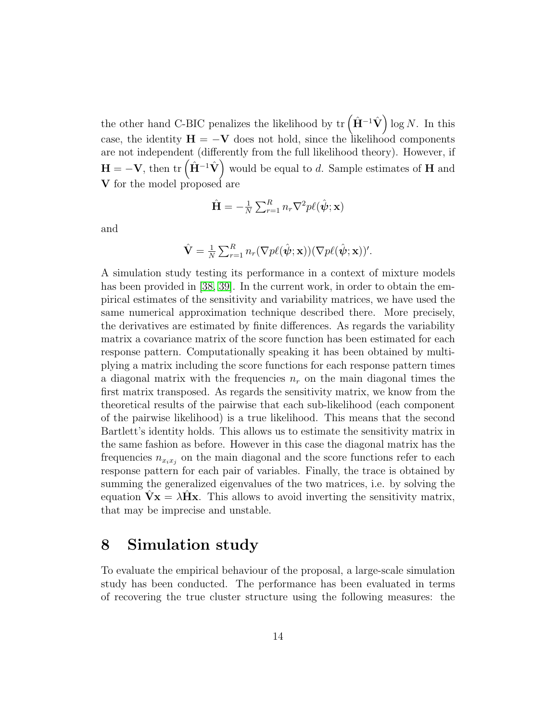the other hand C-BIC penalizes the likelihood by  $\mathrm{tr}(\hat{\mathbf{H}}^{-1}\hat{\mathbf{V}})\log N$ . In this case, the identity  $H = -V$  does not hold, since the likelihood components are not independent (differently from the full likelihood theory). However, if  $H = -V$ , then  $\text{tr}(\hat{\mathbf{H}}^{-1}\hat{\mathbf{V}})$  would be equal to d. Sample estimates of H and V for the model proposed are

$$
\hat{\mathbf{H}} = -\frac{1}{N} \sum_{r=1}^{R} n_r \nabla^2 p \ell(\hat{\boldsymbol{\psi}}; \mathbf{x})
$$

and

$$
\hat{\mathbf{V}} = \frac{1}{N} \sum_{r=1}^{R} n_r (\nabla p\ell(\hat{\boldsymbol{\psi}}; \mathbf{x})) (\nabla p\ell(\hat{\boldsymbol{\psi}}; \mathbf{x}))'.
$$

A simulation study testing its performance in a context of mixture models has been provided in [\[38,](#page-32-0) [39\]](#page-32-10). In the current work, in order to obtain the empirical estimates of the sensitivity and variability matrices, we have used the same numerical approximation technique described there. More precisely, the derivatives are estimated by finite differences. As regards the variability matrix a covariance matrix of the score function has been estimated for each response pattern. Computationally speaking it has been obtained by multiplying a matrix including the score functions for each response pattern times a diagonal matrix with the frequencies  $n_r$  on the main diagonal times the first matrix transposed. As regards the sensitivity matrix, we know from the theoretical results of the pairwise that each sub-likelihood (each component of the pairwise likelihood) is a true likelihood. This means that the second Bartlett's identity holds. This allows us to estimate the sensitivity matrix in the same fashion as before. However in this case the diagonal matrix has the frequencies  $n_{x_ix_j}$  on the main diagonal and the score functions refer to each response pattern for each pair of variables. Finally, the trace is obtained by summing the generalized eigenvalues of the two matrices, i.e. by solving the equation  $\mathbf{\hat{V}}\mathbf{x} = \lambda \mathbf{\hat{H}}\mathbf{x}$ . This allows to avoid inverting the sensitivity matrix, that may be imprecise and unstable.

#### 8 Simulation study

To evaluate the empirical behaviour of the proposal, a large-scale simulation study has been conducted. The performance has been evaluated in terms of recovering the true cluster structure using the following measures: the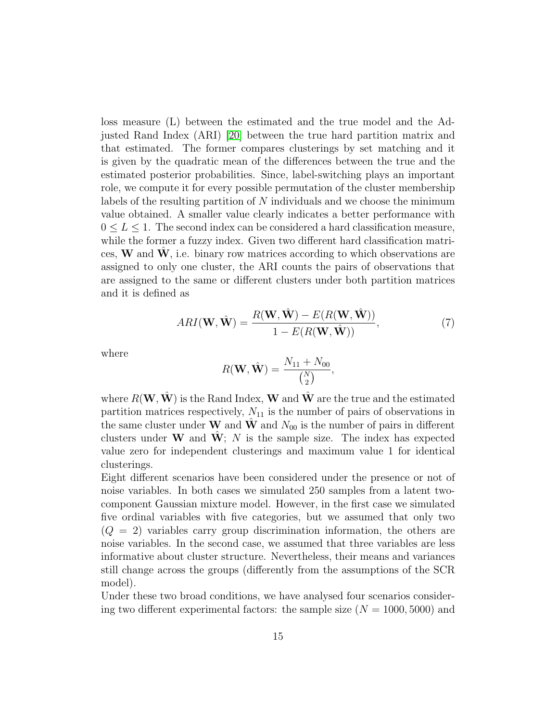loss measure (L) between the estimated and the true model and the Adjusted Rand Index (ARI) [\[20\]](#page-30-8) between the true hard partition matrix and that estimated. The former compares clusterings by set matching and it is given by the quadratic mean of the differences between the true and the estimated posterior probabilities. Since, label-switching plays an important role, we compute it for every possible permutation of the cluster membership labels of the resulting partition of  $N$  individuals and we choose the minimum value obtained. A smaller value clearly indicates a better performance with  $0 \leq L \leq 1$ . The second index can be considered a hard classification measure, while the former a fuzzy index. Given two different hard classification matrices,  $W$  and  $W$ , i.e. binary row matrices according to which observations are assigned to only one cluster, the ARI counts the pairs of observations that are assigned to the same or different clusters under both partition matrices and it is defined as

$$
ARI(\mathbf{W}, \hat{\mathbf{W}}) = \frac{R(\mathbf{W}, \hat{\mathbf{W}}) - E(R(\mathbf{W}, \hat{\mathbf{W}}))}{1 - E(R(\mathbf{W}, \hat{\mathbf{W}}))},
$$
(7)

where

$$
R(\mathbf{W}, \hat{\mathbf{W}}) = \frac{N_{11} + N_{00}}{\binom{N}{2}},
$$

where  $R(\mathbf{W}, \hat{\mathbf{W}})$  is the Rand Index, **W** and  $\hat{\mathbf{W}}$  are the true and the estimated partition matrices respectively,  $N_{11}$  is the number of pairs of observations in the same cluster under W and W and  $N_{00}$  is the number of pairs in different clusters under W and W; N is the sample size. The index has expected value zero for independent clusterings and maximum value 1 for identical clusterings.

Eight different scenarios have been considered under the presence or not of noise variables. In both cases we simulated 250 samples from a latent twocomponent Gaussian mixture model. However, in the first case we simulated five ordinal variables with five categories, but we assumed that only two  $(Q = 2)$  variables carry group discrimination information, the others are noise variables. In the second case, we assumed that three variables are less informative about cluster structure. Nevertheless, their means and variances still change across the groups (differently from the assumptions of the SCR model).

Under these two broad conditions, we have analysed four scenarios considering two different experimental factors: the sample size  $(N = 1000, 5000)$  and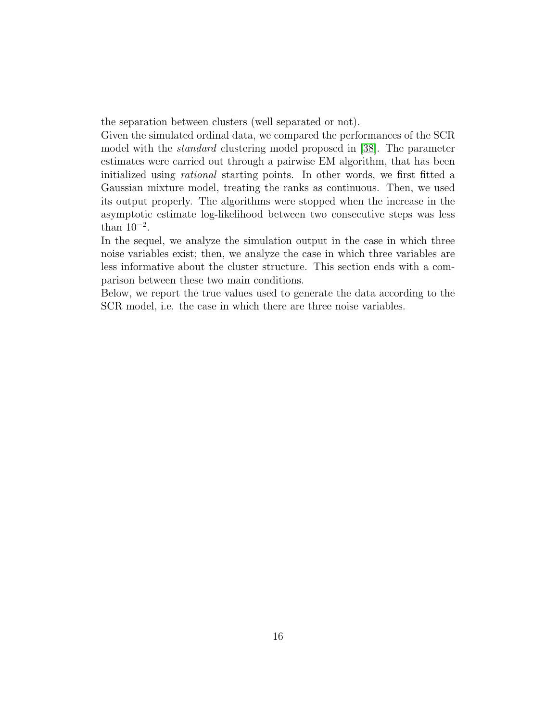the separation between clusters (well separated or not).

Given the simulated ordinal data, we compared the performances of the SCR model with the standard clustering model proposed in [\[38\]](#page-32-0). The parameter estimates were carried out through a pairwise EM algorithm, that has been initialized using rational starting points. In other words, we first fitted a Gaussian mixture model, treating the ranks as continuous. Then, we used its output properly. The algorithms were stopped when the increase in the asymptotic estimate log-likelihood between two consecutive steps was less than  $10^{-2}$ .

In the sequel, we analyze the simulation output in the case in which three noise variables exist; then, we analyze the case in which three variables are less informative about the cluster structure. This section ends with a comparison between these two main conditions.

Below, we report the true values used to generate the data according to the SCR model, i.e. the case in which there are three noise variables.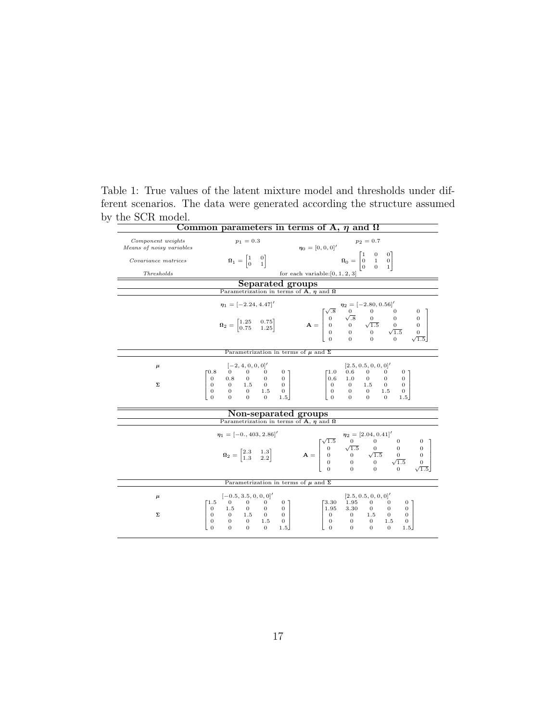| Common parameters in terms of A, $\eta$ and $\Omega$ |                                                                                                                                                                           |                                                                                                                                                                                                                                                                                                        |  |  |  |  |  |
|------------------------------------------------------|---------------------------------------------------------------------------------------------------------------------------------------------------------------------------|--------------------------------------------------------------------------------------------------------------------------------------------------------------------------------------------------------------------------------------------------------------------------------------------------------|--|--|--|--|--|
| Component weights<br>Means of noisy variables        | $p_1 = 0.3$                                                                                                                                                               | $p_2 = 0.7$<br>$\eta_0 = [0, 0, 0]$ '                                                                                                                                                                                                                                                                  |  |  |  |  |  |
| Covariance matrices                                  | $\Omega_1 = \begin{bmatrix} 1 & 0 \\ 0 & 1 \end{bmatrix}$                                                                                                                 | $\Omega_0 = \begin{bmatrix} 1 & 0 & 0 \\ 0 & 1 & 0 \\ 0 & 0 & 1 \end{bmatrix}$                                                                                                                                                                                                                         |  |  |  |  |  |
| Thresholds                                           |                                                                                                                                                                           | for each variable: $[0, 1, 2, 3]$                                                                                                                                                                                                                                                                      |  |  |  |  |  |
|                                                      | Separated groups                                                                                                                                                          |                                                                                                                                                                                                                                                                                                        |  |  |  |  |  |
|                                                      | Parametrization in terms of A, $\eta$ and $\Omega$                                                                                                                        |                                                                                                                                                                                                                                                                                                        |  |  |  |  |  |
|                                                      | $\eta_1 = [-2.24, 4.47]$                                                                                                                                                  |                                                                                                                                                                                                                                                                                                        |  |  |  |  |  |
|                                                      |                                                                                                                                                                           | $\Omega_2 = \begin{bmatrix} 1.25 & 0.75 \\ 0.75 & 1.25 \end{bmatrix}$ $\mathbf{A} = \begin{bmatrix} \sqrt{.8} & 0 & 0 & 0 & 0 \\ 0 & \sqrt{.8} & 0 & 0 & 0 \\ 0 & 0 & \sqrt{1.5} & 0 & 0 \\ 0 & 0 & 0 & \sqrt{1.5} & 0 \\ 0 & 0 & 0 & 0 & \sqrt{1.5} \end{bmatrix}$                                    |  |  |  |  |  |
|                                                      | Parametrization in terms of $\mu$ and $\Sigma$                                                                                                                            |                                                                                                                                                                                                                                                                                                        |  |  |  |  |  |
| $\mu$                                                | $[-2, 4, 0, 0, 0]$<br>70.8                                                                                                                                                | $[2.5, 0.5, 0, 0, 0]$ '<br>Г1.0<br>0.6<br>0 7                                                                                                                                                                                                                                                          |  |  |  |  |  |
| Σ                                                    | $\begin{bmatrix} 0 & 0.8 & 0 & 0 & 0 \ 0 & 0 & 1.5 & 0 & 0 \ 0 & 0 & 0 & 1.5 & 0 \ 0 & 0 & 0 & 0 & 1.5 \end{bmatrix}$                                                     | $\begin{bmatrix} 0.6 & 1.0 & 0 & 0 & 0 \\ 0 & 0 & 1.5 & 0 & 0 \\ 0 & 0 & 0 & 1.5 & 0 \\ 0 & 0 & 0 & 0 & 1.5 \end{bmatrix}$<br>1.5                                                                                                                                                                      |  |  |  |  |  |
|                                                      | Non-separated groups                                                                                                                                                      |                                                                                                                                                                                                                                                                                                        |  |  |  |  |  |
|                                                      | Parametrization in terms of A, $\eta$ and $\Omega$                                                                                                                        |                                                                                                                                                                                                                                                                                                        |  |  |  |  |  |
|                                                      | $\eta_1 = [-0., 403, 2.86]$                                                                                                                                               | $\eta_2 = [2.04, 0.41]'$<br>$\mathbf{\Omega}_2 = \begin{bmatrix} 2.3 & 1.3 \\ 1.3 & 2.2 \end{bmatrix}$ $\mathbf{A} = \begin{bmatrix} \sqrt{1.5} & 0 & 0 & 0 & 0 \\ 0 & \sqrt{1.5} & 0 & 0 & 0 \\ 0 & 0 & \sqrt{1.5} & 0 & 0 \\ 0 & 0 & 0 & \sqrt{1.5} & 0 \\ 0 & 0 & 0 & \sqrt{1.5} & 0 \end{bmatrix}$ |  |  |  |  |  |
|                                                      | Parametrization in terms of $\mu$ and $\Sigma$                                                                                                                            |                                                                                                                                                                                                                                                                                                        |  |  |  |  |  |
| $\mu$<br>Σ                                           | $[-0.5, 3.5, 0, 0, 0]$<br>$\mathbf{0}$<br>1.5<br>$\begin{bmatrix} 0 & 1.5 & 0 & 0 & 0 \\ 0 & 0 & 1.5 & 0 & 0 \\ 0 & 0 & 0 & 1.5 & 0 \\ 0 & 0 & 0 & 0 & 1.5 \end{bmatrix}$ | [2.5, 0.5, 0, 0, 0]<br>1.95<br>13.30<br>0<br>0 <sub>1</sub><br>3.30<br>0<br>1.95<br>$\overline{0}$<br>$\begin{array}{ccc} 1.5 & \hspace{.1cm} 0 \\ 0 & \hspace{.1cm} 1.5 \end{array}$<br>$\overline{0}$<br>$\mathbf{0}$<br>0<br>$\,0\,$<br>$\mathbf{0}$<br>$\overline{0}$                              |  |  |  |  |  |
|                                                      | $\Omega$<br>$\Omega$<br>1.5                                                                                                                                               | $\overline{0}$<br>$\Omega$<br>$\Omega$<br>$\mathbf{0}$<br>1.5                                                                                                                                                                                                                                          |  |  |  |  |  |

Table 1: True values of the latent mixture model and thresholds under different scenarios. The data were generated according the structure assumed by the SCR model.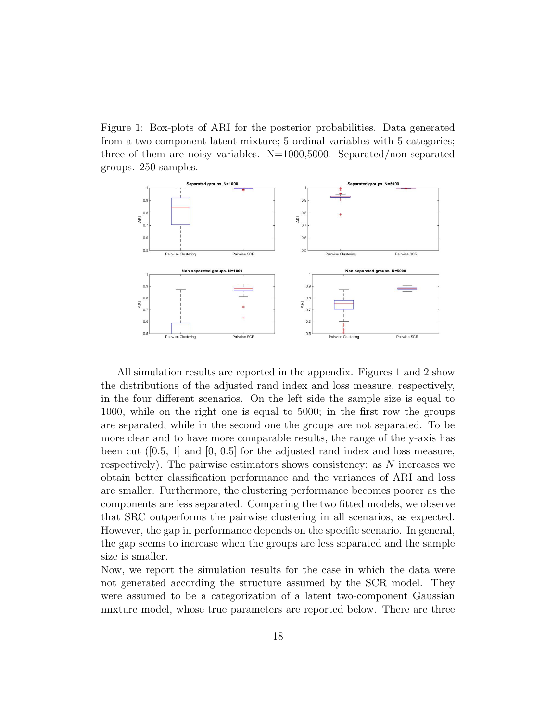Figure 1: Box-plots of ARI for the posterior probabilities. Data generated from a two-component latent mixture; 5 ordinal variables with 5 categories; three of them are noisy variables.  $N=1000,5000$ . Separated/non-separated groups. 250 samples.



All simulation results are reported in the appendix. Figures 1 and 2 show the distributions of the adjusted rand index and loss measure, respectively, in the four different scenarios. On the left side the sample size is equal to 1000, while on the right one is equal to 5000; in the first row the groups are separated, while in the second one the groups are not separated. To be more clear and to have more comparable results, the range of the y-axis has been cut  $(0.5, 1]$  and  $[0, 0.5]$  for the adjusted rand index and loss measure, respectively). The pairwise estimators shows consistency: as N increases we obtain better classification performance and the variances of ARI and loss are smaller. Furthermore, the clustering performance becomes poorer as the components are less separated. Comparing the two fitted models, we observe that SRC outperforms the pairwise clustering in all scenarios, as expected. However, the gap in performance depends on the specific scenario. In general, the gap seems to increase when the groups are less separated and the sample size is smaller.

Now, we report the simulation results for the case in which the data were not generated according the structure assumed by the SCR model. They were assumed to be a categorization of a latent two-component Gaussian mixture model, whose true parameters are reported below. There are three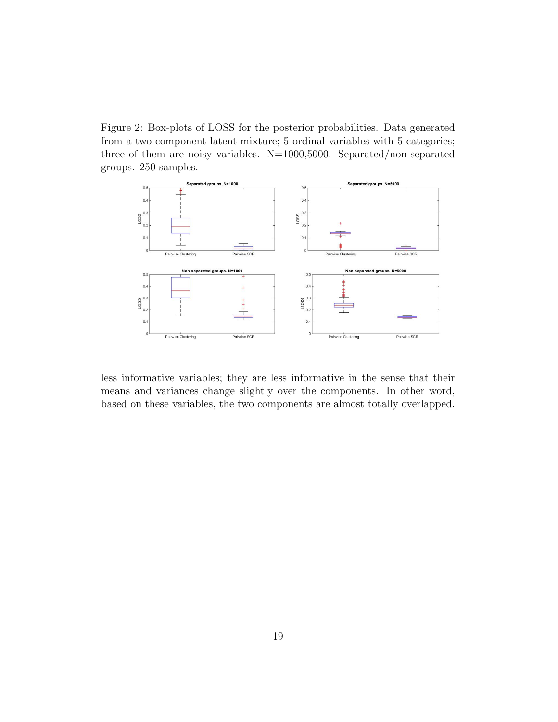Figure 2: Box-plots of LOSS for the posterior probabilities. Data generated from a two-component latent mixture; 5 ordinal variables with 5 categories; three of them are noisy variables.  $N=1000,5000$ . Separated/non-separated groups. 250 samples.



less informative variables; they are less informative in the sense that their means and variances change slightly over the components. In other word, based on these variables, the two components are almost totally overlapped.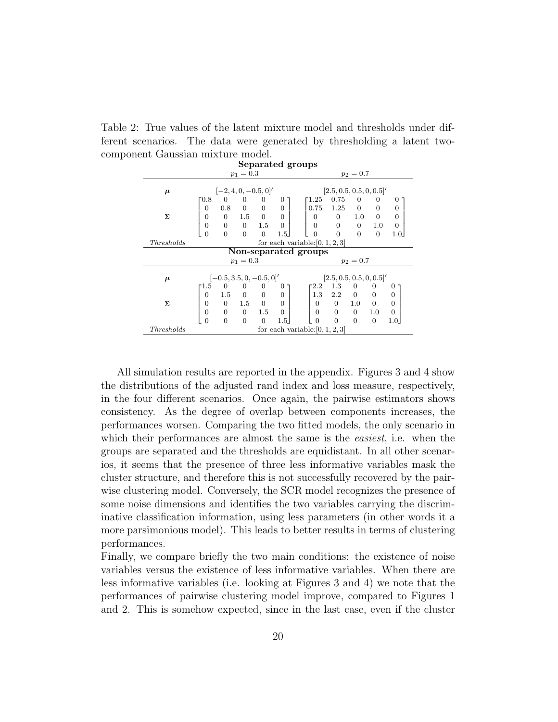Table 2: True values of the latent mixture model and thresholds under different scenarios. The data were generated by thresholding a latent twocomponent Gaussian mixture model.

|            |                | Gudonan muxicare |                            |                | Separated groups |                                   |                         |                          |                |                |
|------------|----------------|------------------|----------------------------|----------------|------------------|-----------------------------------|-------------------------|--------------------------|----------------|----------------|
|            |                |                  |                            |                |                  |                                   |                         |                          |                |                |
|            |                |                  | $p_1 = 0.3$                |                |                  |                                   |                         | $p_2 = 0.7$              |                |                |
| $\mu$      |                |                  | $[-2, 4, 0, -0.5, 0]'$     |                |                  |                                   | [2.5, 0.5, 0.5, 0, 0.5] |                          |                |                |
|            | Г0.8           | $\overline{0}$   | $\overline{0}$             | $\overline{0}$ | 0                | 1.25                              | 0.75                    | $\mathbf{0}$             | 0              | 0              |
|            | $\overline{0}$ | 0.8              | $\overline{0}$             | $\overline{0}$ | $\theta$         | 0.75                              | 1.25                    | $\overline{0}$           | $\overline{0}$ | $\theta$       |
| Σ          | $\overline{0}$ | $\overline{0}$   | 1.5                        | $\overline{0}$ | $\overline{0}$   | $\mathbf{0}$                      | $\overline{0}$          | $1.0\,$                  | $\theta$       | $\theta$       |
|            | $\overline{0}$ | $\overline{0}$   | $\overline{0}$             | 1.5            | $\overline{0}$   | $\theta$                          | 0                       | $\overline{0}$           | 1.0            | $\mathbf{0}$   |
|            | $\overline{0}$ | $\Omega$         | $\Omega$                   | $\overline{0}$ | 1.5              | $\overline{0}$                    | $\Omega$                | $\overline{0}$           | $\overline{0}$ | 1.0            |
| Thresholds |                |                  |                            |                |                  | for each variable: $[0, 1, 2, 3]$ |                         |                          |                |                |
|            |                |                  |                            |                |                  | Non-separated groups              |                         |                          |                |                |
|            |                |                  | $p_1 = 0.3$                |                |                  |                                   |                         | $p_2 = 0.7$              |                |                |
| $\mu$      |                |                  | $[-0.5, 3.5, 0, -0.5, 0]'$ |                |                  |                                   | [2.5, 0.5, 0.5, 0, 0.5] |                          |                |                |
|            | $-1.5$         | 0                | $\bf{0}$                   | 0              | 0                | 2.2                               | 1.3                     | 0                        | 0              | 0              |
|            | $\overline{0}$ | 1.5              | $\overline{0}$             | $\theta$       | $\theta$         | 1.3                               | 2.2                     | $\overline{\phantom{0}}$ | $\overline{0}$ | $\Omega$       |
| Σ          | $\overline{0}$ | $\overline{0}$   | 1.5                        | $\overline{0}$ | $\theta$         | $\overline{0}$                    | $\overline{0}$          | 1.0                      | $\theta$       | $\Omega$       |
|            | $\overline{0}$ | $\overline{0}$   | $\overline{0}$             | 1.5            | $\overline{0}$   | $\Omega$                          | $\overline{0}$          | $\overline{0}$           | 1.0            | $\overline{0}$ |
|            | $\overline{0}$ | $\Omega$         | $\Omega$                   | $\overline{0}$ | 1.5              | $\Omega$                          | $\Omega$                | $\Omega$                 | $\mathbf{0}$   | 1.0            |
| Thresholds |                |                  |                            |                |                  | for each variable: $[0, 1, 2, 3]$ |                         |                          |                |                |

All simulation results are reported in the appendix. Figures 3 and 4 show the distributions of the adjusted rand index and loss measure, respectively, in the four different scenarios. Once again, the pairwise estimators shows consistency. As the degree of overlap between components increases, the performances worsen. Comparing the two fitted models, the only scenario in which their performances are almost the same is the *easiest*, i.e. when the groups are separated and the thresholds are equidistant. In all other scenarios, it seems that the presence of three less informative variables mask the cluster structure, and therefore this is not successfully recovered by the pairwise clustering model. Conversely, the SCR model recognizes the presence of some noise dimensions and identifies the two variables carrying the discriminative classification information, using less parameters (in other words it a more parsimonious model). This leads to better results in terms of clustering performances.

Finally, we compare briefly the two main conditions: the existence of noise variables versus the existence of less informative variables. When there are less informative variables (i.e. looking at Figures 3 and 4) we note that the performances of pairwise clustering model improve, compared to Figures 1 and 2. This is somehow expected, since in the last case, even if the cluster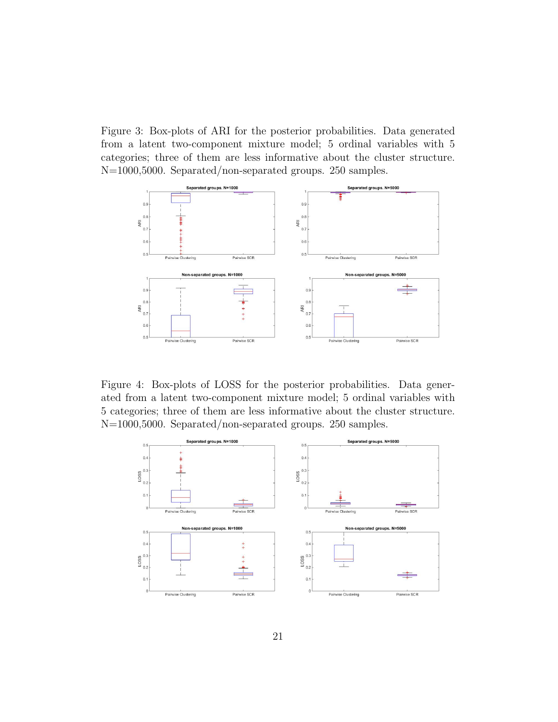Figure 3: Box-plots of ARI for the posterior probabilities. Data generated from a latent two-component mixture model; 5 ordinal variables with 5 categories; three of them are less informative about the cluster structure. N=1000,5000. Separated/non-separated groups. 250 samples.



Figure 4: Box-plots of LOSS for the posterior probabilities. Data generated from a latent two-component mixture model; 5 ordinal variables with 5 categories; three of them are less informative about the cluster structure. N=1000,5000. Separated/non-separated groups. 250 samples.

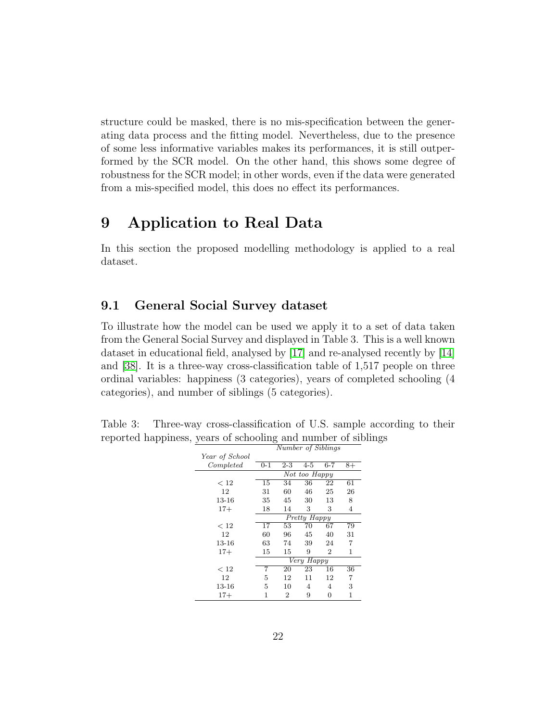structure could be masked, there is no mis-specification between the generating data process and the fitting model. Nevertheless, due to the presence of some less informative variables makes its performances, it is still outperformed by the SCR model. On the other hand, this shows some degree of robustness for the SCR model; in other words, even if the data were generated from a mis-specified model, this does no effect its performances.

# 9 Application to Real Data

In this section the proposed modelling methodology is applied to a real dataset.

#### 9.1 General Social Survey dataset

To illustrate how the model can be used we apply it to a set of data taken from the General Social Survey and displayed in Table 3. This is a well known dataset in educational field, analysed by [\[17\]](#page-30-9) and re-analysed recently by [\[14\]](#page-30-10) and [\[38\]](#page-32-0). It is a three-way cross-classification table of 1,517 people on three ordinal variables: happiness (3 categories), years of completed schooling (4 categories), and number of siblings (5 categories).

Table 3: Three-way cross-classification of U.S. sample according to their reported happiness, years of schooling and number of siblings

|                |            | Number of Siblings |               |                |    |  |  |  |  |
|----------------|------------|--------------------|---------------|----------------|----|--|--|--|--|
| Year of School |            |                    |               |                |    |  |  |  |  |
| Completed      | $0 - 1$    | 2-3                | $4 - 5$       | $6 - 7$        | 8+ |  |  |  |  |
|                |            |                    | Not too Happy |                |    |  |  |  |  |
| < 12           | 15         | 34                 | 36            | 22             | 61 |  |  |  |  |
| 12             | 31         | 60                 | 46            | 25             | 26 |  |  |  |  |
| 13-16          | 35         | 45                 | 30            | 13             | 8  |  |  |  |  |
| $17+$          | 18         | 14                 | 3             | 3              | 4  |  |  |  |  |
|                |            |                    | Pretty Happy  |                |    |  |  |  |  |
| < 12           | 17         | 53                 | 70            | 67             | 79 |  |  |  |  |
| 12             | 60         | 96                 | 45            | 40             | 31 |  |  |  |  |
| 13-16          | 63         | 74                 | 39            | 24             | 7  |  |  |  |  |
| $17+$          | 15         | 15                 | 9             | $\overline{2}$ | 1  |  |  |  |  |
|                | Very Happy |                    |               |                |    |  |  |  |  |
| < 12           | 7          | 20                 | 23            | 16             | 36 |  |  |  |  |
| 12             | 5          | 12                 | 11            | 12             | 7  |  |  |  |  |
| 13-16          | 5          | 10                 | 4             | 4              | 3  |  |  |  |  |
| $17+$          | 1          | $\overline{2}$     | 9             | 0              | 1  |  |  |  |  |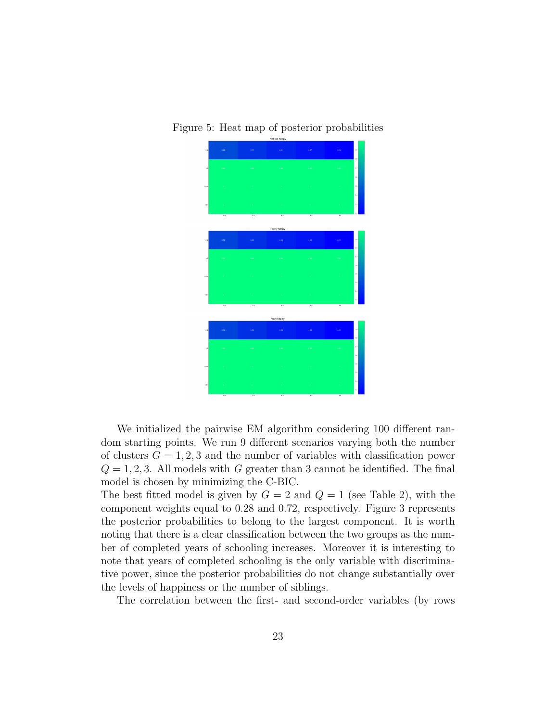Figure 5: Heat map of posterior probabilities



We initialized the pairwise EM algorithm considering 100 different random starting points. We run 9 different scenarios varying both the number of clusters  $G = 1, 2, 3$  and the number of variables with classification power  $Q = 1, 2, 3$ . All models with G greater than 3 cannot be identified. The final model is chosen by minimizing the C-BIC.

The best fitted model is given by  $G = 2$  and  $Q = 1$  (see Table 2), with the component weights equal to 0.28 and 0.72, respectively. Figure 3 represents the posterior probabilities to belong to the largest component. It is worth noting that there is a clear classification between the two groups as the number of completed years of schooling increases. Moreover it is interesting to note that years of completed schooling is the only variable with discriminative power, since the posterior probabilities do not change substantially over the levels of happiness or the number of siblings.

The correlation between the first- and second-order variables (by rows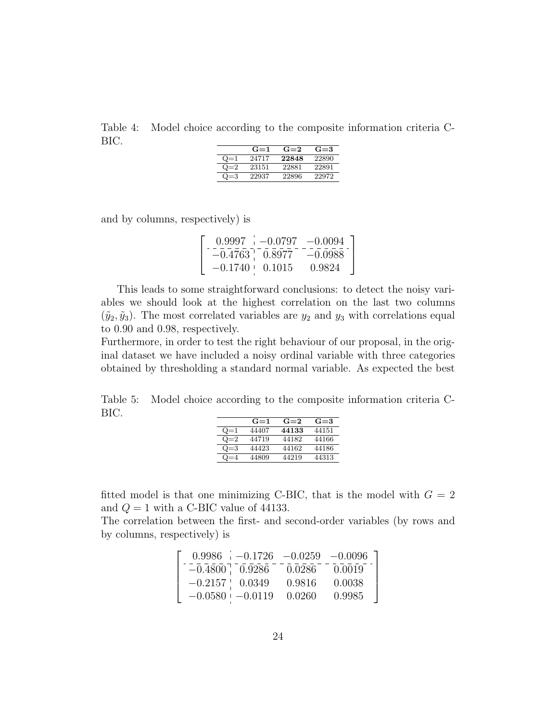Table 4: Model choice according to the composite information criteria C-BIC.

|       | $G=1$ | $G=2$ | $G = 3$ |
|-------|-------|-------|---------|
| $Q=1$ | 24717 | 22848 | 22890   |
| $Q=2$ | 23151 | 22881 | 22891   |
|       | 22937 | 22896 | 22972   |

and by columns, respectively) is

|                      | $0.9997 -0.0797 -0.0094$ |           |
|----------------------|--------------------------|-----------|
| $-0.4763$ , 0.8977   |                          | $-0.0988$ |
| $-0.1740 \pm 0.1015$ |                          | 0.9824    |

This leads to some straightforward conclusions: to detect the noisy variables we should look at the highest correlation on the last two columns  $(\tilde{y}_2, \tilde{y}_3)$ . The most correlated variables are  $y_2$  and  $y_3$  with correlations equal to 0.90 and 0.98, respectively.

Furthermore, in order to test the right behaviour of our proposal, in the original dataset we have included a noisy ordinal variable with three categories obtained by thresholding a standard normal variable. As expected the best

Table 5: Model choice according to the composite information criteria C-BIC.

|       | $G=1$ | $G=2$ | $G = 3$ |
|-------|-------|-------|---------|
| $Q=1$ | 44407 | 44133 | 44151   |
| $Q=2$ | 44719 | 44182 | 44166   |
| $Q=3$ | 44423 | 44162 | 44186   |
| $Q=4$ | 44809 | 44219 | 44313   |

fitted model is that one minimizing C-BIC, that is the model with  $G = 2$ and  $Q = 1$  with a C-BIC value of 44133.

The correlation between the first- and second-order variables (by rows and by columns, respectively) is

|                     | $0.9986$ $-0.1726$ $-0.0259$ $-0.0096$ |        |        |
|---------------------|----------------------------------------|--------|--------|
| $-0.4800$ 0.9286    |                                        | 0.0286 | 0.0019 |
| $-0.2157$ $0.0349$  |                                        | 0.9816 | 0.0038 |
| $-0.0580 = -0.0119$ |                                        | 0.0260 | 0.9985 |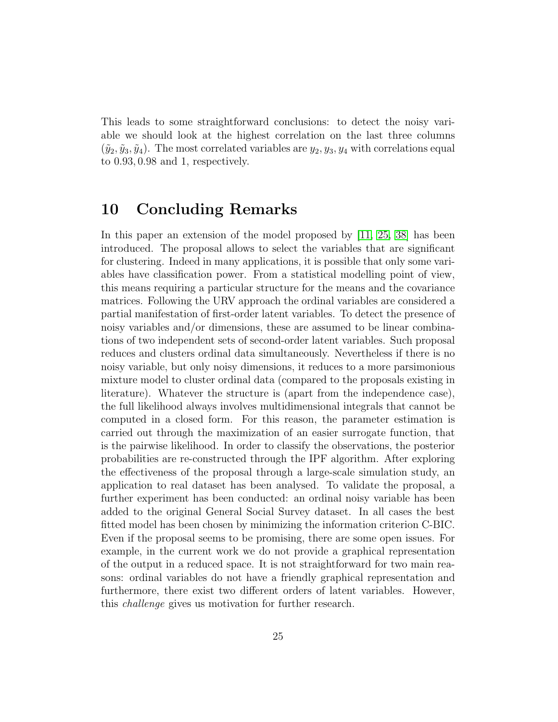This leads to some straightforward conclusions: to detect the noisy variable we should look at the highest correlation on the last three columns  $(\tilde{y}_2, \tilde{y}_3, \tilde{y}_4)$ . The most correlated variables are  $y_2, y_3, y_4$  with correlations equal to 0.93, 0.98 and 1, respectively.

#### 10 Concluding Remarks

In this paper an extension of the model proposed by [\[11,](#page-29-1) [25,](#page-31-1) [38\]](#page-32-0) has been introduced. The proposal allows to select the variables that are significant for clustering. Indeed in many applications, it is possible that only some variables have classification power. From a statistical modelling point of view, this means requiring a particular structure for the means and the covariance matrices. Following the URV approach the ordinal variables are considered a partial manifestation of first-order latent variables. To detect the presence of noisy variables and/or dimensions, these are assumed to be linear combinations of two independent sets of second-order latent variables. Such proposal reduces and clusters ordinal data simultaneously. Nevertheless if there is no noisy variable, but only noisy dimensions, it reduces to a more parsimonious mixture model to cluster ordinal data (compared to the proposals existing in literature). Whatever the structure is (apart from the independence case), the full likelihood always involves multidimensional integrals that cannot be computed in a closed form. For this reason, the parameter estimation is carried out through the maximization of an easier surrogate function, that is the pairwise likelihood. In order to classify the observations, the posterior probabilities are re-constructed through the IPF algorithm. After exploring the effectiveness of the proposal through a large-scale simulation study, an application to real dataset has been analysed. To validate the proposal, a further experiment has been conducted: an ordinal noisy variable has been added to the original General Social Survey dataset. In all cases the best fitted model has been chosen by minimizing the information criterion C-BIC. Even if the proposal seems to be promising, there are some open issues. For example, in the current work we do not provide a graphical representation of the output in a reduced space. It is not straightforward for two main reasons: ordinal variables do not have a friendly graphical representation and furthermore, there exist two different orders of latent variables. However, this challenge gives us motivation for further research.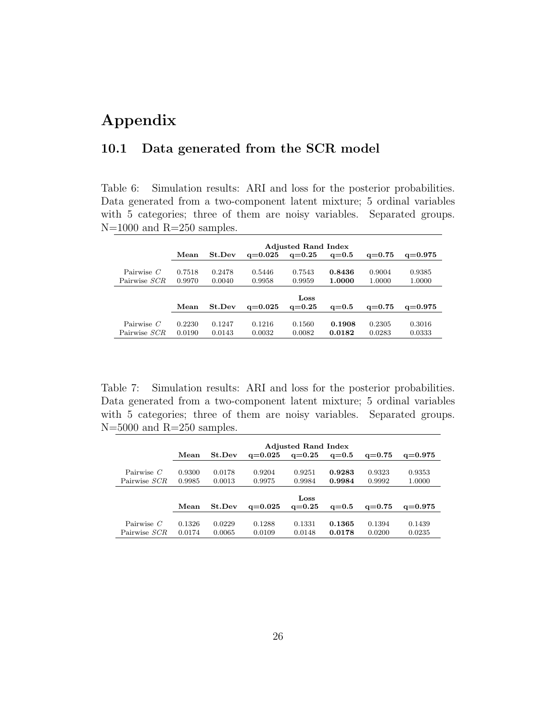# Appendix

#### 10.1 Data generated from the SCR model

Table 6: Simulation results: ARI and loss for the posterior probabilities. Data generated from a two-component latent mixture; 5 ordinal variables with 5 categories; three of them are noisy variables. Separated groups. N=1000 and R=250 samples.

|              | <b>Adjusted Rand Index</b> |        |             |            |         |            |             |  |  |  |  |
|--------------|----------------------------|--------|-------------|------------|---------|------------|-------------|--|--|--|--|
|              | Mean                       | St.Dev | $q = 0.025$ | $q = 0.25$ | $q=0.5$ | $q = 0.75$ | $q = 0.975$ |  |  |  |  |
|              |                            |        |             |            |         |            |             |  |  |  |  |
| Pairwise $C$ | 0.7518                     | 0.2478 | 0.5446      | 0.7543     | 0.8436  | 0.9004     | 0.9385      |  |  |  |  |
| Pairwise SCR | 0.9970                     | 0.0040 | 0.9958      | 0.9959     | 1.0000  | 1.0000     | 1.0000      |  |  |  |  |
|              |                            |        |             |            |         |            |             |  |  |  |  |
|              |                            |        |             | Loss       |         |            |             |  |  |  |  |
|              | Mean                       | St.Dev | $q = 0.025$ | $q = 0.25$ | $q=0.5$ | $q = 0.75$ | $q = 0.975$ |  |  |  |  |
|              |                            |        |             |            |         |            |             |  |  |  |  |
| Pairwise $C$ | 0.2230                     | 0.1247 | 0.1216      | 0.1560     | 0.1908  | 0.2305     | 0.3016      |  |  |  |  |
| Pairwise SCR | 0.0190                     | 0.0143 | 0.0032      | 0.0082     | 0.0182  | 0.0283     | 0.0333      |  |  |  |  |

Table 7: Simulation results: ARI and loss for the posterior probabilities. Data generated from a two-component latent mixture; 5 ordinal variables with 5 categories; three of them are noisy variables. Separated groups.  $N=5000$  and  $R=250$  samples.

|              | <b>Adjusted Rand Index</b> |        |             |            |         |            |             |  |  |
|--------------|----------------------------|--------|-------------|------------|---------|------------|-------------|--|--|
|              | Mean                       | St.Dev | $q = 0.025$ | $q = 0.25$ | $q=0.5$ | $q = 0.75$ | $q = 0.975$ |  |  |
|              |                            |        |             |            |         |            |             |  |  |
| Pairwise $C$ | 0.9300                     | 0.0178 | 0.9204      | 0.9251     | 0.9283  | 0.9323     | 0.9353      |  |  |
| Pairwise SCR | 0.9985                     | 0.0013 | 0.9975      | 0.9984     | 0.9984  | 0.9992     | 1.0000      |  |  |
|              |                            |        |             |            |         |            |             |  |  |
|              |                            |        |             | Loss       |         |            |             |  |  |
|              | Mean                       | St.Dev | $q = 0.025$ | $q = 0.25$ | $q=0.5$ | $q = 0.75$ | $q = 0.975$ |  |  |
|              |                            |        |             |            |         |            |             |  |  |
| Pairwise $C$ | 0.1326                     | 0.0229 | 0.1288      | 0.1331     | 0.1365  | 0.1394     | 0.1439      |  |  |
| Pairwise SCR | 0.0174                     | 0.0065 | 0.0109      | 0.0148     | 0.0178  | 0.0200     | 0.0235      |  |  |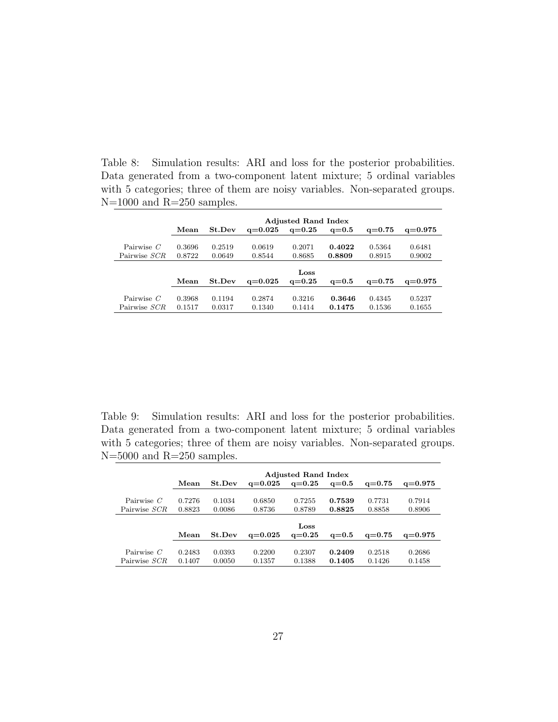Table 8: Simulation results: ARI and loss for the posterior probabilities. Data generated from a two-component latent mixture; 5 ordinal variables with 5 categories; three of them are noisy variables. Non-separated groups. N=1000 and R=250 samples.

|              | <b>Adjusted Rand Index</b> |        |             |            |         |            |             |  |  |  |
|--------------|----------------------------|--------|-------------|------------|---------|------------|-------------|--|--|--|
|              | Mean                       | St.Dev | $q = 0.025$ | $q = 0.25$ | $q=0.5$ | $q = 0.75$ | $q = 0.975$ |  |  |  |
|              |                            |        |             |            |         |            |             |  |  |  |
| Pairwise $C$ | 0.3696                     | 0.2519 | 0.0619      | 0.2071     | 0.4022  | 0.5364     | 0.6481      |  |  |  |
| Pairwise SCR | 0.8722                     | 0.0649 | 0.8544      | 0.8685     | 0.8809  | 0.8915     | 0.9002      |  |  |  |
|              |                            |        |             |            |         |            |             |  |  |  |
|              |                            |        |             | Loss       |         |            |             |  |  |  |
|              | Mean                       | St.Dev | $q = 0.025$ | $q=0.25$   | $q=0.5$ | $q = 0.75$ | $q = 0.975$ |  |  |  |
|              |                            |        |             |            |         |            |             |  |  |  |
| Pairwise $C$ | 0.3968                     | 0.1194 | 0.2874      | 0.3216     | 0.3646  | 0.4345     | 0.5237      |  |  |  |
| Pairwise SCR | 0.1517                     | 0.0317 | 0.1340      | 0.1414     | 0.1475  | 0.1536     | 0.1655      |  |  |  |

Table 9: Simulation results: ARI and loss for the posterior probabilities. Data generated from a two-component latent mixture; 5 ordinal variables with 5 categories; three of them are noisy variables. Non-separated groups.  $N=5000$  and  $R=250$  samples.

|              | <b>Adjusted Rand Index</b> |        |             |            |           |            |             |  |  |  |
|--------------|----------------------------|--------|-------------|------------|-----------|------------|-------------|--|--|--|
|              | Mean                       | St.Dev | $q = 0.025$ | $q = 0.25$ | $q = 0.5$ | $q = 0.75$ | $q = 0.975$ |  |  |  |
|              |                            |        |             |            |           |            |             |  |  |  |
| Pairwise $C$ | 0.7276                     | 0.1034 | 0.6850      | 0.7255     | 0.7539    | 0.7731     | 0.7914      |  |  |  |
| Pairwise SCR | 0.8823                     | 0.0086 | 0.8736      | 0.8789     | 0.8825    | 0.8858     | 0.8906      |  |  |  |
|              |                            |        |             |            |           |            |             |  |  |  |
|              |                            |        |             | Loss       |           |            |             |  |  |  |
|              | Mean                       | St.Dev | $q = 0.025$ | $q = 0.25$ | $q=0.5$   | $q = 0.75$ | $q = 0.975$ |  |  |  |
|              |                            |        |             |            |           |            |             |  |  |  |
| Pairwise $C$ | 0.2483                     | 0.0393 | 0.2200      | 0.2307     | 0.2409    | 0.2518     | 0.2686      |  |  |  |
| Pairwise SCR | 0.1407                     | 0.0050 | 0.1357      | 0.1388     | 0.1405    | 0.1426     | 0.1458      |  |  |  |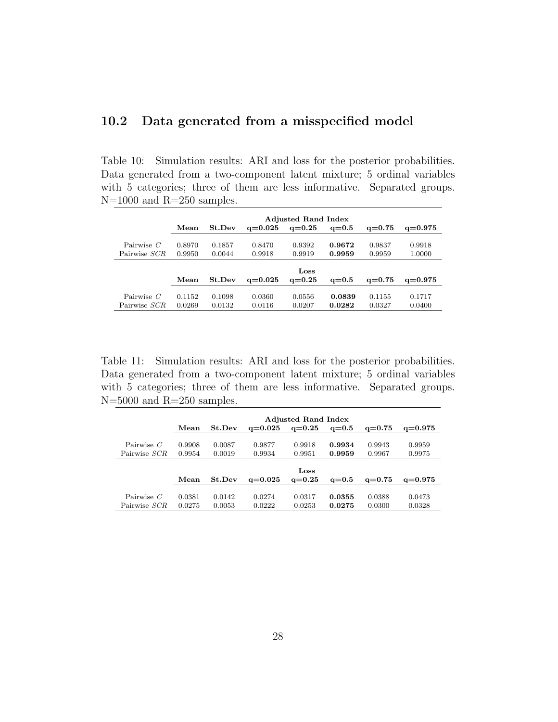#### 10.2 Data generated from a misspecified model

Table 10: Simulation results: ARI and loss for the posterior probabilities. Data generated from a two-component latent mixture; 5 ordinal variables with 5 categories; three of them are less informative. Separated groups.  $N=1000$  and  $R=250$  samples.

|              | <b>Adjusted Rand Index</b> |        |             |            |         |            |             |  |  |  |  |
|--------------|----------------------------|--------|-------------|------------|---------|------------|-------------|--|--|--|--|
|              | Mean                       | St.Dev | $q = 0.025$ | $q = 0.25$ | $q=0.5$ | $q = 0.75$ | $q = 0.975$ |  |  |  |  |
|              |                            |        |             |            |         |            |             |  |  |  |  |
| Pairwise $C$ | 0.8970                     | 0.1857 | 0.8470      | 0.9392     | 0.9672  | 0.9837     | 0.9918      |  |  |  |  |
| Pairwise SCR | 0.9950                     | 0.0044 | 0.9918      | 0.9919     | 0.9959  | 0.9959     | 1.0000      |  |  |  |  |
|              |                            |        |             |            |         |            |             |  |  |  |  |
|              |                            |        |             | Loss       |         |            |             |  |  |  |  |
|              | Mean                       | St.Dev | $q = 0.025$ | $q=0.25$   | $q=0.5$ | $q = 0.75$ | $q = 0.975$ |  |  |  |  |
|              |                            |        |             |            |         |            |             |  |  |  |  |
| Pairwise $C$ | 0.1152                     | 0.1098 | 0.0360      | 0.0556     | 0.0839  | 0.1155     | 0.1717      |  |  |  |  |
| Pairwise SCR | 0.0269                     | 0.0132 | 0.0116      | 0.0207     | 0.0282  | 0.0327     | 0.0400      |  |  |  |  |

Table 11: Simulation results: ARI and loss for the posterior probabilities. Data generated from a two-component latent mixture; 5 ordinal variables with 5 categories; three of them are less informative. Separated groups.  $N=5000$  and  $R=250$  samples.

|              | <b>Adjusted Rand Index</b> |        |             |            |         |                 |             |
|--------------|----------------------------|--------|-------------|------------|---------|-----------------|-------------|
|              | Mean                       | St.Dev | $a = 0.025$ | $q = 0.25$ | $q=0.5$ | $q = 0.75$      | $q = 0.975$ |
|              |                            |        |             |            |         |                 |             |
| Pairwise $C$ | 0.9908                     | 0.0087 | 0.9877      | 0.9918     | 0.9934  | 0.9943          | 0.9959      |
| Pairwise SCR | 0.9954                     | 0.0019 | 0.9934      | 0.9951     | 0.9959  | 0.9967          | 0.9975      |
|              |                            |        |             |            |         |                 |             |
|              |                            |        |             | Loss       |         |                 |             |
|              | Mean                       | St.Dev | $q = 0.025$ | $q = 0.25$ | $q=0.5$ | $\alpha = 0.75$ | $q = 0.975$ |
|              |                            |        |             |            |         |                 |             |
| Pairwise $C$ | 0.0381                     | 0.0142 | 0.0274      | 0.0317     | 0.0355  | 0.0388          | 0.0473      |
| Pairwise SCR | 0.0275                     | 0.0053 | 0.0222      | 0.0253     | 0.0275  | 0.0300          | 0.0328      |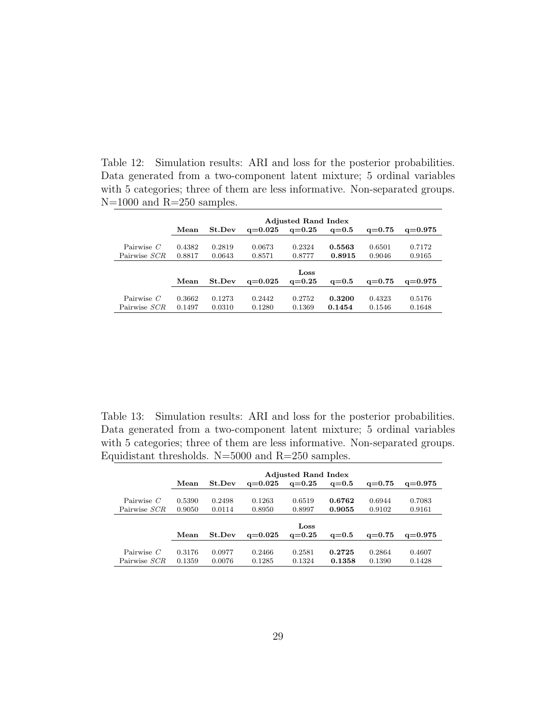Table 12: Simulation results: ARI and loss for the posterior probabilities. Data generated from a two-component latent mixture; 5 ordinal variables with 5 categories; three of them are less informative. Non-separated groups. N=1000 and R=250 samples.

|              | <b>Adjusted Rand Index</b> |        |             |            |         |            |             |
|--------------|----------------------------|--------|-------------|------------|---------|------------|-------------|
|              | Mean                       | St.Dev | $q = 0.025$ | $q = 0.25$ | $q=0.5$ | $q = 0.75$ | $q = 0.975$ |
|              |                            |        |             |            |         |            |             |
| Pairwise $C$ | 0.4382                     | 0.2819 | 0.0673      | 0.2324     | 0.5563  | 0.6501     | 0.7172      |
| Pairwise SCR | 0.8817                     | 0.0643 | 0.8571      | 0.8777     | 0.8915  | 0.9046     | 0.9165      |
|              |                            |        |             |            |         |            |             |
|              |                            |        |             | Loss       |         |            |             |
|              | Mean                       | St.Dev | $q = 0.025$ | $q = 0.25$ | $q=0.5$ | $q = 0.75$ | $q = 0.975$ |
|              |                            |        |             |            |         |            |             |
| Pairwise $C$ | 0.3662                     | 0.1273 | 0.2442      | 0.2752     | 0.3200  | 0.4323     | 0.5176      |
| Pairwise SCR | 0.1497                     | 0.0310 | 0.1280      | 0.1369     | 0.1454  | 0.1546     | 0.1648      |

Table 13: Simulation results: ARI and loss for the posterior probabilities. Data generated from a two-component latent mixture; 5 ordinal variables with 5 categories; three of them are less informative. Non-separated groups. Equidistant thresholds.  $N=5000$  and  $R=250$  samples.

|              | <b>Adjusted Rand Index</b> |        |             |            |         |            |             |
|--------------|----------------------------|--------|-------------|------------|---------|------------|-------------|
|              | Mean                       | St.Dev | $q = 0.025$ | $q=0.25$   | $q=0.5$ | $q = 0.75$ | $q = 0.975$ |
|              |                            |        |             |            |         |            |             |
| Pairwise $C$ | 0.5390                     | 0.2498 | 0.1263      | 0.6519     | 0.6762  | 0.6944     | 0.7083      |
| Pairwise SCR | 0.9050                     | 0.0114 | 0.8950      | 0.8997     | 0.9055  | 0.9102     | 0.9161      |
|              |                            |        |             |            |         |            |             |
|              |                            |        |             | Loss       |         |            |             |
|              | Mean                       | St.Dev | $q = 0.025$ | $q = 0.25$ | $q=0.5$ | $q = 0.75$ | $q = 0.975$ |
|              |                            |        |             |            |         |            |             |
| Pairwise $C$ | 0.3176                     | 0.0977 | 0.2466      | 0.2581     | 0.2725  | 0.2864     | 0.4607      |
| Pairwise SCR | 0.1359                     | 0.0076 | 0.1285      | 0.1324     | 0.1358  | 0.1390     | 0.1428      |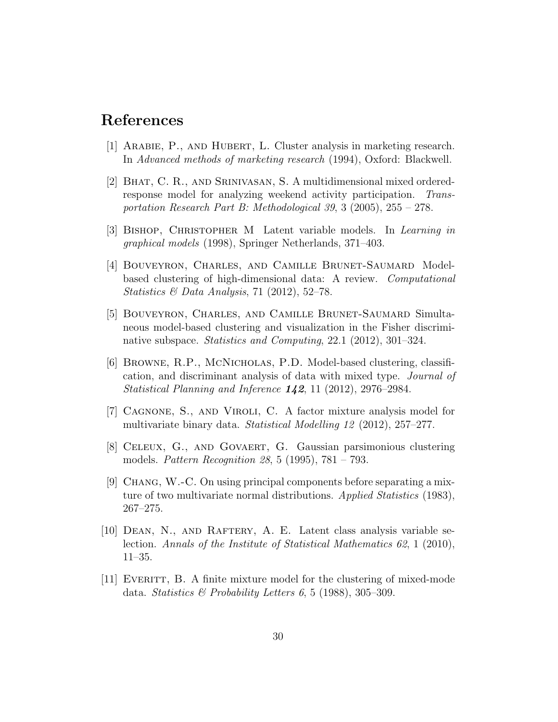#### References

- <span id="page-29-3"></span>[1] Arabie, P., and Hubert, L. Cluster analysis in marketing research. In Advanced methods of marketing research (1994), Oxford: Blackwell.
- [2] Bhat, C. R., and Srinivasan, S. A multidimensional mixed orderedresponse model for analyzing weekend activity participation. Transportation Research Part B: Methodological 39, 3 (2005), 255 – 278.
- <span id="page-29-7"></span>[3] Bishop, Christopher M Latent variable models. In Learning in graphical models (1998), Springer Netherlands, 371–403.
- <span id="page-29-8"></span>[4] Bouveyron, Charles, and Camille Brunet-Saumard Modelbased clustering of high-dimensional data: A review. Computational Statistics & Data Analysis, 71 (2012), 52-78.
- <span id="page-29-5"></span>[5] Bouveyron, Charles, and Camille Brunet-Saumard Simultaneous model-based clustering and visualization in the Fisher discriminative subspace. Statistics and Computing, 22.1 (2012), 301–324.
- [6] Browne, R.P., McNicholas, P.D. Model-based clustering, classification, and discriminant analysis of data with mixed type. Journal of Statistical Planning and Inference 142, 11 (2012), 2976–2984.
- <span id="page-29-0"></span>[7] Cagnone, S., and Viroli, C. A factor mixture analysis model for multivariate binary data. Statistical Modelling 12 (2012), 257–277.
- <span id="page-29-6"></span>[8] Celeux, G., and Govaert, G. Gaussian parsimonious clustering models. Pattern Recognition 28, 5 (1995), 781 – 793.
- <span id="page-29-4"></span>[9] Chang, W.-C. On using principal components before separating a mixture of two multivariate normal distributions. Applied Statistics (1983), 267–275.
- <span id="page-29-2"></span>[10] Dean, N., and Raftery, A. E. Latent class analysis variable selection. Annals of the Institute of Statistical Mathematics 62, 1 (2010), 11–35.
- <span id="page-29-1"></span> $[11]$  EVERITT, B. A finite mixture model for the clustering of mixed-mode data. Statistics & Probability Letters 6, 5 (1988), 305-309.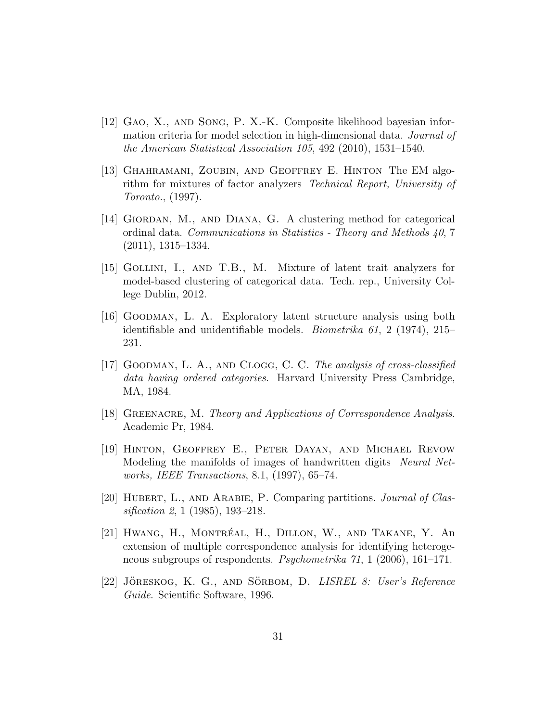- <span id="page-30-7"></span>[12] Gao, X., and Song, P. X.-K. Composite likelihood bayesian information criteria for model selection in high-dimensional data. Journal of the American Statistical Association 105, 492 (2010), 1531–1540.
- <span id="page-30-4"></span>[13] Ghahramani, Zoubin, and Geoffrey E. Hinton The EM algorithm for mixtures of factor analyzers Technical Report, University of Toronto., (1997).
- <span id="page-30-10"></span>[14] Giordan, M., and Diana, G. A clustering method for categorical ordinal data. Communications in Statistics - Theory and Methods 40, 7 (2011), 1315–1334.
- <span id="page-30-1"></span>[15] Gollini, I., and T.B., M. Mixture of latent trait analyzers for model-based clustering of categorical data. Tech. rep., University College Dublin, 2012.
- <span id="page-30-0"></span>[16] Goodman, L. A. Exploratory latent structure analysis using both identifiable and unidentifiable models. Biometrika 61, 2 (1974), 215– 231.
- <span id="page-30-9"></span>[17] GOODMAN, L. A., AND CLOGG, C. C. The analysis of cross-classified data having ordered categories. Harvard University Press Cambridge, MA, 1984.
- <span id="page-30-2"></span>[18] GREENACRE, M. Theory and Applications of Correspondence Analysis. Academic Pr, 1984.
- <span id="page-30-5"></span>[19] Hinton, Geoffrey E., Peter Dayan, and Michael Revow Modeling the manifolds of images of handwritten digits *Neural Net*works, IEEE Transactions, 8.1, (1997), 65–74.
- <span id="page-30-8"></span>[20] Hubert, L., and Arabie, P. Comparing partitions. Journal of Classification 2, 1 (1985), 193–218.
- <span id="page-30-3"></span>[21] HWANG, H., MONTRÉAL, H., DILLON, W., AND TAKANE, Y. An extension of multiple correspondence analysis for identifying heterogeneous subgroups of respondents. Psychometrika 71, 1 (2006), 161–171.
- <span id="page-30-6"></span>[22] JÖRESKOG, K. G., AND SÖRBOM, D. LISREL 8: User's Reference Guide. Scientific Software, 1996.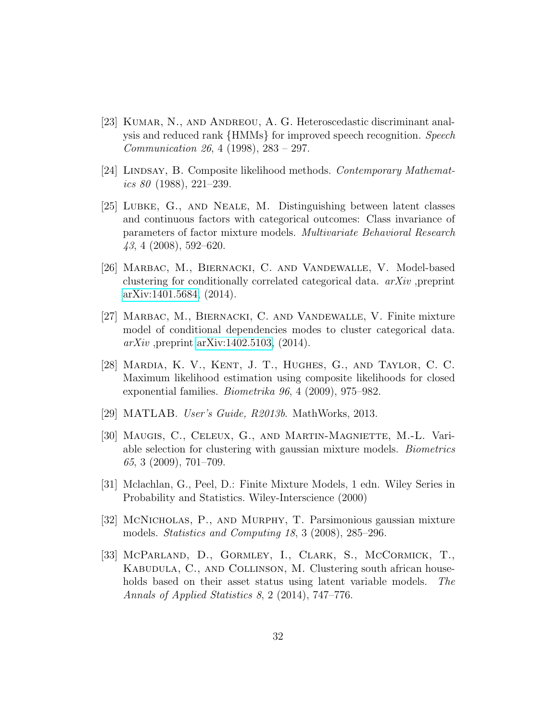- <span id="page-31-3"></span>[23] KUMAR, N., AND ANDREOU, A. G. Heteroscedastic discriminant analysis and reduced rank {HMMs} for improved speech recognition. Speech Communication 26, 4 (1998), 283 – 297.
- <span id="page-31-8"></span>[24] LINDSAY, B. Composite likelihood methods. Contemporary Mathematics 80  $(1988)$ , 221–239.
- <span id="page-31-1"></span>[25] Lubke, G., and Neale, M. Distinguishing between latent classes and continuous factors with categorical outcomes: Class invariance of parameters of factor mixture models. Multivariate Behavioral Research 43, 4 (2008), 592–620.
- <span id="page-31-6"></span>[26] Marbac, M., Biernacki, C. and Vandewalle, V. Model-based clustering for conditionally correlated categorical data. arXiv ,preprint [arXiv:1401.5684,](http://arxiv.org/abs/1401.5684) (2014).
- <span id="page-31-7"></span>[27] Marbac, M., Biernacki, C. and Vandewalle, V. Finite mixture model of conditional dependencies modes to cluster categorical data.  $arXiv$ , preprint [arXiv:1402.5103,](http://arxiv.org/abs/1402.5103) (2014).
- <span id="page-31-9"></span>[28] Mardia, K. V., Kent, J. T., Hughes, G., and Taylor, C. C. Maximum likelihood estimation using composite likelihoods for closed exponential families. Biometrika 96, 4 (2009), 975–982.
- <span id="page-31-10"></span>[29] MATLAB. User's Guide, R2013b. MathWorks, 2013.
- <span id="page-31-2"></span>[30] MAUGIS, C., CELEUX, G., AND MARTIN-MAGNIETTE, M.-L. Variable selection for clustering with gaussian mixture models. Biometrics 65, 3 (2009), 701–709.
- <span id="page-31-5"></span>[31] Mclachlan, G., Peel, D.: Finite Mixture Models, 1 edn. Wiley Series in Probability and Statistics. Wiley-Interscience (2000)
- <span id="page-31-4"></span>[32] McNicholas, P., and Murphy, T. Parsimonious gaussian mixture models. Statistics and Computing 18, 3 (2008), 285–296.
- <span id="page-31-0"></span>[33] McParland, D., Gormley, I., Clark, S., McCormick, T., KABUDULA, C., AND COLLINSON, M. Clustering south african households based on their asset status using latent variable models. The Annals of Applied Statistics 8, 2 (2014), 747–776.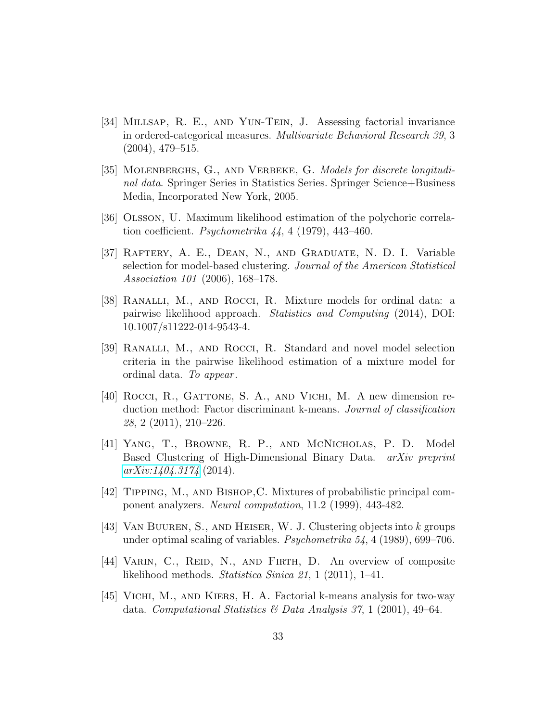- <span id="page-32-9"></span>[34] Millsap, R. E., and Yun-Tein, J. Assessing factorial invariance in ordered-categorical measures. Multivariate Behavioral Research 39, 3 (2004), 479–515.
- <span id="page-32-8"></span>[35] MOLENBERGHS, G., AND VERBEKE, G. Models for discrete longitudinal data. Springer Series in Statistics Series. Springer Science+Business Media, Incorporated New York, 2005.
- [36] Olsson, U. Maximum likelihood estimation of the polychoric correlation coefficient. *Psychometrika*  $44, 4$  (1979), 443–460.
- <span id="page-32-2"></span>[37] Raftery, A. E., Dean, N., and Graduate, N. D. I. Variable selection for model-based clustering. Journal of the American Statistical Association 101 (2006), 168–178.
- <span id="page-32-0"></span>[38] Ranalli, M., and Rocci, R. Mixture models for ordinal data: a pairwise likelihood approach. Statistics and Computing (2014), DOI: 10.1007/s11222-014-9543-4.
- <span id="page-32-10"></span>[39] Ranalli, M., and Rocci, R. Standard and novel model selection criteria in the pairwise likelihood estimation of a mixture model for ordinal data. To appear .
- <span id="page-32-4"></span>[40] ROCCI, R., GATTONE, S. A., AND VICHI, M. A new dimension reduction method: Factor discriminant k-means. Journal of classification 28, 2 (2011), 210–226.
- <span id="page-32-1"></span>[41] Yang, T., Browne, R. P., and McNicholas, P. D. Model Based Clustering of High-Dimensional Binary Data. arXiv preprint  $arXiv:1404.3174$  (2014).
- <span id="page-32-6"></span>[42] Tipping, M., and Bishop,C. Mixtures of probabilistic principal component analyzers. Neural computation, 11.2 (1999), 443-482.
- <span id="page-32-5"></span>[43] Van Buuren, S., and Heiser, W. J. Clustering objects into k groups under optimal scaling of variables. Psychometrika 54, 4 (1989), 699–706.
- <span id="page-32-7"></span>[44] VARIN, C., REID, N., AND FIRTH, D. An overview of composite likelihood methods. Statistica Sinica 21, 1 (2011), 1–41.
- <span id="page-32-3"></span>[45] Vichi, M., and Kiers, H. A. Factorial k-means analysis for two-way data. Computational Statistics & Data Analysis 37, 1 (2001), 49-64.